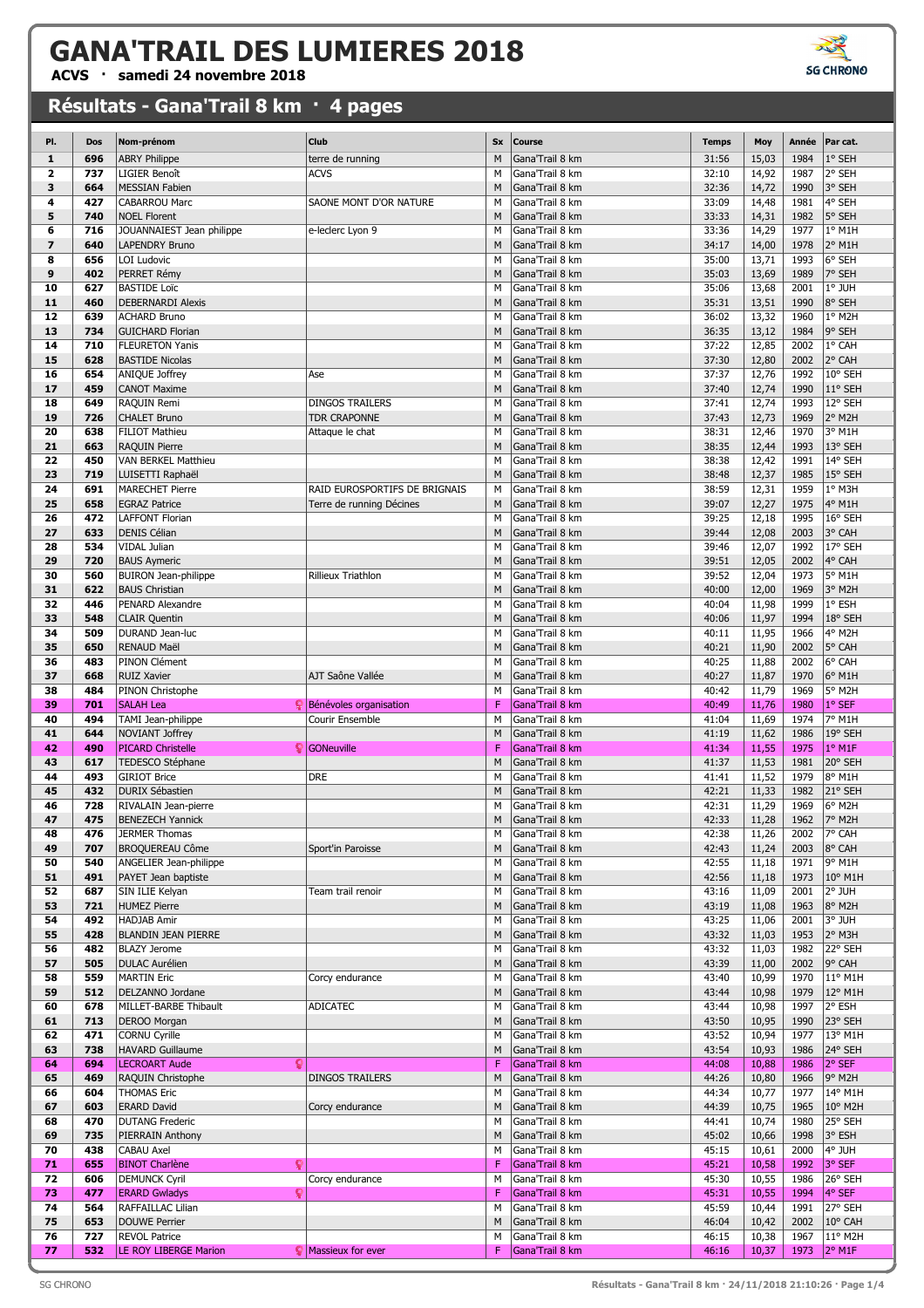## **GANA'TRAIL DES LUMIERES 2018**

**ACVS · samedi 24 novembre 2018**

## **Résultats - Gana'Trail 8 km · 4 pages**



| Club<br>PI.<br>Nom-prénom<br><b>Sx</b><br><b>Course</b><br><b>Temps</b><br>Moy<br>Année<br>Par cat.<br>Dos<br>696<br>1984<br>1° SEH<br>$\mathbf{1}$<br><b>ABRY Philippe</b><br>terre de running<br>M<br>Gana'Trail 8 km<br>31:56<br>15,03<br><b>ACVS</b><br>M<br>14,92<br>2° SEH<br>$\overline{\mathbf{2}}$<br>737<br><b>LIGIER Benoît</b><br>Gana'Trail 8 km<br>32:10<br>1987<br>3<br>M<br>3° SEH<br>664<br><b>MESSIAN Fabien</b><br>Gana'Trail 8 km<br>32:36<br>14,72<br>1990<br>4° SEH<br>4<br>427<br><b>CABARROU Marc</b><br>SAONE MONT D'OR NATURE<br>M<br>Gana'Trail 8 km<br>33:09<br>14,48<br>1981<br>5<br><b>NOEL Florent</b><br>33:33<br>14,31<br>1982<br>5° SEH<br>740<br>M<br>Gana'Trail 8 km<br>6<br>716<br>14,29<br>1977<br>$1°$ M1H<br>JOUANNAIEST Jean philippe<br>M<br>Gana'Trail 8 km<br>33:36<br>e-leclerc Lyon 9<br>$\overline{\mathbf{z}}$<br>640<br>14,00<br>1978<br>2° M1H<br><b>LAPENDRY Bruno</b><br>M<br>Gana'Trail 8 km<br>34:17<br>13,71<br>1993<br>6° SEH<br>8<br>656<br>LOI Ludovic<br>M<br>Gana'Trail 8 km<br>35:00<br>9<br>7° SEH<br>402<br>PERRET Rémy<br>M<br>Gana'Trail 8 km<br>35:03<br>13,69<br>1989<br>627<br>35:06<br>13,68<br>2001<br>1° JUH<br>10<br><b>BASTIDE Loïc</b><br>M<br>Gana'Trail 8 km<br>8° SEH<br>11<br>460<br><b>DEBERNARDI Alexis</b><br>M<br>Gana'Trail 8 km<br>35:31<br>13,51<br>1990<br>36:02<br>13,32<br>1960<br>1° M2H<br>12<br>639<br><b>ACHARD Bruno</b><br>M<br>Gana'Trail 8 km<br>9° SEH<br>13<br>734<br><b>GUICHARD Florian</b><br>M<br>Gana'Trail 8 km<br>36:35<br>13,12<br>1984<br>12,85<br>2002<br>1° CAH<br>14<br>710<br><b>FLEURETON Yanis</b><br>Gana'Trail 8 km<br>37:22<br>М<br>2° CAH<br>15<br>628<br><b>BASTIDE Nicolas</b><br>M<br>Gana'Trail 8 km<br>37:30<br>12,80<br>2002<br>12,76<br>1992<br>10° SEH<br>16<br>654<br>ANIQUE Joffrey<br>M<br>Gana'Trail 8 km<br>37:37<br>Ase<br>12,74<br>11° SEH<br>17<br>459<br><b>CANOT Maxime</b><br>M<br>Gana'Trail 8 km<br>37:40<br>1990<br>12,74<br>1993<br>12° SEH<br>18<br>649<br>RAQUIN Remi<br><b>DINGOS TRAILERS</b><br>M<br>Gana'Trail 8 km<br>37:41<br>12,73<br>2° M2H<br>19<br>726<br><b>CHALET Bruno</b><br><b>TDR CRAPONNE</b><br>M<br>Gana'Trail 8 km<br>37:43<br>1969<br>1970<br>3° M1H<br>20<br>638<br><b>FILIOT Mathieu</b><br>M<br>Gana'Trail 8 km<br>38:31<br>12,46<br>Attaque le chat<br>12,44<br>13° SEH<br>21<br>663<br><b>RAQUIN Pierre</b><br>M<br>Gana'Trail 8 km<br>38:35<br>1993<br>14° SEH<br>22<br>450<br>VAN BERKEL Matthieu<br>M<br>Gana'Trail 8 km<br>38:38<br>12,42<br>1991<br>23<br>M<br>12,37<br>15° SEH<br>719<br>LUISETTI Raphaël<br>Gana'Trail 8 km<br>38:48<br>1985<br>691<br>M<br>38:59<br>12,31<br>1° M3H<br>24<br><b>MARECHET Pierre</b><br>RAID EUROSPORTIFS DE BRIGNAIS<br>Gana'Trail 8 km<br>1959<br>25<br>M<br>12,27<br>4° M1H<br>658<br><b>EGRAZ Patrice</b><br>Terre de running Décines<br>Gana'Trail 8 km<br>39:07<br>1975<br>M<br>26<br>472<br><b>LAFFONT Florian</b><br>Gana'Trail 8 km<br>39:25<br>12,18<br>1995<br>16° SEH<br>27<br><b>DENIS Célian</b><br>3° CAH<br>633<br>M<br>Gana'Trail 8 km<br>39:44<br>12,08<br>2003<br>534<br>12,07<br>1992<br>17° SEH<br>28<br><b>VIDAL Julian</b><br>M<br>Gana'Trail 8 km<br>39:46<br>12,05<br>2002<br>4° CAH<br>29<br>720<br><b>BAUS Aymeric</b><br>M<br>Gana'Trail 8 km<br>39:51<br>12,04<br>30<br>560<br><b>BUIRON Jean-philippe</b><br>Rillieux Triathlon<br>M<br>Gana'Trail 8 km<br>39:52<br>1973<br>5° M1H<br>12,00<br>3° M2H<br>31<br>622<br><b>BAUS Christian</b><br>M<br>Gana'Trail 8 km<br>40:00<br>1969<br>40:04<br>11,98<br>1999<br>1° ESH<br>32<br>446<br>PENARD Alexandre<br>M<br>Gana'Trail 8 km<br>18° SEH<br>33<br>548<br><b>CLAIR Quentin</b><br>M<br>Gana'Trail 8 km<br>40:06<br>11,97<br>1994<br>11,95<br>4° M2H<br>34<br>509<br>DURAND Jean-luc<br>M<br>Gana'Trail 8 km<br>40:11<br>1966<br>35<br>5° CAH<br>650<br><b>RENAUD Maël</b><br>M<br>Gana'Trail 8 km<br>40:21<br>11,90<br>2002<br>40:25<br>11,88<br>2002<br>6° CAH<br>36<br>483<br>PINON Clément<br>M<br>Gana'Trail 8 km<br>AJT Saône Vallée<br>37<br>668<br><b>RUIZ Xavier</b><br>M<br>Gana'Trail 8 km<br>40:27<br>11,87<br>1970<br>6° M1H<br>11,79<br>1969<br>5° M2H<br>38<br>484<br>PINON Christophe<br>M<br>Gana'Trail 8 km<br>40:42<br>F<br>1° SEF<br>39<br>701<br><b>SALAH Lea</b><br>Bénévoles organisation<br>Gana'Trail 8 km<br>40:49<br>11,76<br>1980<br>1974<br>7° M1H<br>40<br>494<br>TAMI Jean-philippe<br>Courir Ensemble<br>M<br>Gana'Trail 8 km<br>41:04<br>11,69<br>M<br>19° SEH<br>41<br>644<br>NOVIANT Joffrey<br>Gana'Trail 8 km<br>41:19<br>11,62<br>1986<br>F<br>11,55<br>1975<br>1° M1F<br>42<br>490<br><b>PICARD Christelle</b><br>S GONeuville<br>Gana'Trail 8 km<br>41:34<br>11,53<br>20° SEH<br>43<br>617<br>TEDESCO Stéphane<br>M<br>Gana'Trail 8 km<br>41:37<br>1981<br><b>DRE</b><br>1979<br>493<br><b>GIRIOT Brice</b><br>Gana'Trail 8 km<br>41:41<br>11,52<br>8° M1H<br>44<br>М<br>21° SEH<br>45<br>432<br><b>DURIX Sébastien</b><br>M<br>Gana'Trail 8 km<br>42:21<br>11,33<br>1982<br>M<br>42:31<br>11,29<br>1969<br>6° M2H<br>46<br>728<br>Gana'Trail 8 km<br>RIVALAIN Jean-pierre<br>42:33<br>47<br>475<br>11,28<br>7° M2H<br><b>BENEZECH Yannick</b><br>Gana'Trail 8 km<br>1962<br>M<br>42:38<br>7° CAH<br>48<br>476<br><b>JERMER Thomas</b><br>M<br>Gana'Trail 8 km<br>11,26<br>2002<br>42:43<br>2003<br>8° CAH<br>49<br>707<br><b>BROQUEREAU Côme</b><br>M<br>Gana'Trail 8 km<br>11,24<br>Sport'in Paroisse<br>42:55<br>9° M1H<br>50<br>540<br>ANGELIER Jean-philippe<br>M<br>Gana'Trail 8 km<br>11,18<br>1971<br>10° M1H<br>51<br>491<br>PAYET Jean baptiste<br>M<br>Gana'Trail 8 km<br>42:56<br>11,18<br>1973<br>2° JUH<br>52<br>687<br>SIN ILIE Kelyan<br>M<br>Gana'Trail 8 km<br>43:16<br>11,09<br>2001<br>Team trail renoir<br>721<br>43:19<br>1963<br>8° M2H<br>53<br><b>HUMEZ Pierre</b><br>M<br>Gana'Trail 8 km<br>11,08<br>492<br><b>HADJAB Amir</b><br>Gana'Trail 8 km<br>3° JUH<br>54<br>M<br>43:25<br>11,06<br>2001<br>55<br>428<br>1953<br>2° M3H<br><b>BLANDIN JEAN PIERRE</b><br>M<br>Gana'Trail 8 km<br>43:32<br>11,03<br>22° SEH<br>56<br>482<br><b>BLAZY Jerome</b><br>M<br>Gana'Trail 8 km<br>43:32<br>11,03<br>1982<br>505<br>9° CAH<br>57<br><b>DULAC Aurélien</b><br>M<br>Gana'Trail 8 km<br>43:39<br>11,00<br>2002<br><b>MARTIN Eric</b><br>Gana'Trail 8 km<br>10,99<br>1970<br>11° M1H<br>58<br>559<br>Corcy endurance<br>M<br>43:40<br>59<br>512<br>12° M1H<br>DELZANNO Jordane<br>M<br>Gana'Trail 8 km<br>43:44<br>10,98<br>1979<br>2° ESH<br>678<br>60<br>MILLET-BARBE Thibault<br><b>ADICATEC</b><br>Gana'Trail 8 km<br>43:44<br>10,98<br>1997<br>М<br>23° SEH<br>61<br>713<br><b>DEROO Morgan</b><br>M<br>Gana'Trail 8 km<br>43:50<br>10,95<br>1990<br>13° M1H<br>62<br>471<br><b>CORNU Cyrille</b><br>Gana'Trail 8 km<br>43:52<br>10,94<br>1977<br>М<br>24° SEH<br>63<br>738<br><b>HAVARD Guillaume</b><br>M<br>Gana'Trail 8 km<br>43:54<br>10,93<br>1986<br>2° SEF<br><b>LECROART Aude</b><br>c<br>F<br>Gana'Trail 8 km<br>1986<br>64<br>694<br>44:08<br>10,88<br>9° M2H<br>65<br>469<br><b>RAQUIN Christophe</b><br><b>DINGOS TRAILERS</b><br>M<br>Gana'Trail 8 km<br>44:26<br>10,80<br>1966<br>14° M1H<br>66<br>604<br><b>THOMAS Eric</b><br>Gana'Trail 8 km<br>44:34<br>10,77<br>1977<br>М<br>10° M2H<br>67<br>603<br><b>ERARD David</b><br>Corcy endurance<br>M<br>Gana'Trail 8 km<br>44:39<br>10,75<br>1965<br><b>DUTANG Frederic</b><br>10,74<br>1980<br>25° SEH<br>68<br>470<br>Gana'Trail 8 km<br>44:41<br>М<br>Gana'Trail 8 km<br>3° ESH<br>69<br>735<br>PIERRAIN Anthony<br>M<br>45:02<br>10,66<br>1998<br>438<br><b>CABAU Axel</b><br>4° JUH<br>70<br>Gana'Trail 8 km<br>45:15<br>10,61<br>2000<br>М<br><b>BINOT Charlène</b><br>F<br>Gana'Trail 8 km<br>3° SEF<br>71<br>655<br>ç<br>45:21<br>10,58<br>1992<br>26° SEH<br>72<br>606<br><b>DEMUNCK Cyril</b><br>Corcy endurance<br>Gana'Trail 8 km<br>45:30<br>10,55<br>1986<br>M<br>4° SEF<br>F<br>73<br>477<br><b>ERARD Gwladys</b><br>Q<br>Gana'Trail 8 km<br>45:31<br>10,55<br>1994<br>74<br>27° SEH<br>564<br>RAFFAILLAC Lilian<br>M<br>Gana'Trail 8 km<br>45:59<br>10,44<br>1991<br>10° CAH<br>75<br>653<br><b>DOUWE Perrier</b><br>M<br>Gana'Trail 8 km<br>46:04<br>10,42<br>2002<br>76<br>727<br><b>REVOL Patrice</b><br>M<br>Gana'Trail 8 km<br>46:15<br>10,38<br>1967<br>11° M2H<br>1973 2° M1F |    |     |                       |                   |   |                 |       |       |  |
|---------------------------------------------------------------------------------------------------------------------------------------------------------------------------------------------------------------------------------------------------------------------------------------------------------------------------------------------------------------------------------------------------------------------------------------------------------------------------------------------------------------------------------------------------------------------------------------------------------------------------------------------------------------------------------------------------------------------------------------------------------------------------------------------------------------------------------------------------------------------------------------------------------------------------------------------------------------------------------------------------------------------------------------------------------------------------------------------------------------------------------------------------------------------------------------------------------------------------------------------------------------------------------------------------------------------------------------------------------------------------------------------------------------------------------------------------------------------------------------------------------------------------------------------------------------------------------------------------------------------------------------------------------------------------------------------------------------------------------------------------------------------------------------------------------------------------------------------------------------------------------------------------------------------------------------------------------------------------------------------------------------------------------------------------------------------------------------------------------------------------------------------------------------------------------------------------------------------------------------------------------------------------------------------------------------------------------------------------------------------------------------------------------------------------------------------------------------------------------------------------------------------------------------------------------------------------------------------------------------------------------------------------------------------------------------------------------------------------------------------------------------------------------------------------------------------------------------------------------------------------------------------------------------------------------------------------------------------------------------------------------------------------------------------------------------------------------------------------------------------------------------------------------------------------------------------------------------------------------------------------------------------------------------------------------------------------------------------------------------------------------------------------------------------------------------------------------------------------------------------------------------------------------------------------------------------------------------------------------------------------------------------------------------------------------------------------------------------------------------------------------------------------------------------------------------------------------------------------------------------------------------------------------------------------------------------------------------------------------------------------------------------------------------------------------------------------------------------------------------------------------------------------------------------------------------------------------------------------------------------------------------------------------------------------------------------------------------------------------------------------------------------------------------------------------------------------------------------------------------------------------------------------------------------------------------------------------------------------------------------------------------------------------------------------------------------------------------------------------------------------------------------------------------------------------------------------------------------------------------------------------------------------------------------------------------------------------------------------------------------------------------------------------------------------------------------------------------------------------------------------------------------------------------------------------------------------------------------------------------------------------------------------------------------------------------------------------------------------------------------------------------------------------------------------------------------------------------------------------------------------------------------------------------------------------------------------------------------------------------------------------------------------------------------------------------------------------------------------------------------------------------------------------------------------------------------------------------------------------------------------------------------------------------------------------------------------------------------------------------------------------------------------------------------------------------------------------------------------------------------------------------------------------------------------------------------------------------------------------------------------------------------------------------------------------------------------------------------------------------------------------------------------------------------------------------------------------------------------------------------------------------------------------------------------------------------------------------------------------------------------------------------------------------------------------------------------------------------------------------------------------------------------------------------------------------------------------------------------------------------------------------------------------------------------------------------------------------------------------------------------------------------------------------------------------------------------------------------------------------------------------------------------------------------------------------------------------------------------------------------------------------------------------------------------------------------------------------------------------------------------------------------------------------------------------------------------------------------------------------------------------------------------------------------------------------------------------------------------------------------------------------------------------------------------------------------------------------------------------------------------------------------------------------------------------------------------------------------------------------------------------------------------------------------------------------------------------------------------------------------------------------------------------------------------------------------------------------------------------------------------------------------------------------------------------------------------------------------------------------------------------------------------------------------------------------------------------------|----|-----|-----------------------|-------------------|---|-----------------|-------|-------|--|
|                                                                                                                                                                                                                                                                                                                                                                                                                                                                                                                                                                                                                                                                                                                                                                                                                                                                                                                                                                                                                                                                                                                                                                                                                                                                                                                                                                                                                                                                                                                                                                                                                                                                                                                                                                                                                                                                                                                                                                                                                                                                                                                                                                                                                                                                                                                                                                                                                                                                                                                                                                                                                                                                                                                                                                                                                                                                                                                                                                                                                                                                                                                                                                                                                                                                                                                                                                                                                                                                                                                                                                                                                                                                                                                                                                                                                                                                                                                                                                                                                                                                                                                                                                                                                                                                                                                                                                                                                                                                                                                                                                                                                                                                                                                                                                                                                                                                                                                                                                                                                                                                                                                                                                                                                                                                                                                                                                                                                                                                                                                                                                                                                                                                                                                                                                                                                                                                                                                                                                                                                                                                                                                                                                                                                                                                                                                                                                                                                                                                                                                                                                                                                                                                                                                                                                                                                                                                                                                                                                                                                                                                                                                                                                                                                                                                                                                                                                                                                                                                                                                                                                                                                                                                                                                                                                                                                                                                                                                                                                                                                                                                                                                                                                                                                                                                                                                                       |    |     |                       |                   |   |                 |       |       |  |
|                                                                                                                                                                                                                                                                                                                                                                                                                                                                                                                                                                                                                                                                                                                                                                                                                                                                                                                                                                                                                                                                                                                                                                                                                                                                                                                                                                                                                                                                                                                                                                                                                                                                                                                                                                                                                                                                                                                                                                                                                                                                                                                                                                                                                                                                                                                                                                                                                                                                                                                                                                                                                                                                                                                                                                                                                                                                                                                                                                                                                                                                                                                                                                                                                                                                                                                                                                                                                                                                                                                                                                                                                                                                                                                                                                                                                                                                                                                                                                                                                                                                                                                                                                                                                                                                                                                                                                                                                                                                                                                                                                                                                                                                                                                                                                                                                                                                                                                                                                                                                                                                                                                                                                                                                                                                                                                                                                                                                                                                                                                                                                                                                                                                                                                                                                                                                                                                                                                                                                                                                                                                                                                                                                                                                                                                                                                                                                                                                                                                                                                                                                                                                                                                                                                                                                                                                                                                                                                                                                                                                                                                                                                                                                                                                                                                                                                                                                                                                                                                                                                                                                                                                                                                                                                                                                                                                                                                                                                                                                                                                                                                                                                                                                                                                                                                                                                                       |    |     |                       |                   |   |                 |       |       |  |
|                                                                                                                                                                                                                                                                                                                                                                                                                                                                                                                                                                                                                                                                                                                                                                                                                                                                                                                                                                                                                                                                                                                                                                                                                                                                                                                                                                                                                                                                                                                                                                                                                                                                                                                                                                                                                                                                                                                                                                                                                                                                                                                                                                                                                                                                                                                                                                                                                                                                                                                                                                                                                                                                                                                                                                                                                                                                                                                                                                                                                                                                                                                                                                                                                                                                                                                                                                                                                                                                                                                                                                                                                                                                                                                                                                                                                                                                                                                                                                                                                                                                                                                                                                                                                                                                                                                                                                                                                                                                                                                                                                                                                                                                                                                                                                                                                                                                                                                                                                                                                                                                                                                                                                                                                                                                                                                                                                                                                                                                                                                                                                                                                                                                                                                                                                                                                                                                                                                                                                                                                                                                                                                                                                                                                                                                                                                                                                                                                                                                                                                                                                                                                                                                                                                                                                                                                                                                                                                                                                                                                                                                                                                                                                                                                                                                                                                                                                                                                                                                                                                                                                                                                                                                                                                                                                                                                                                                                                                                                                                                                                                                                                                                                                                                                                                                                                                                       |    |     |                       |                   |   |                 |       |       |  |
|                                                                                                                                                                                                                                                                                                                                                                                                                                                                                                                                                                                                                                                                                                                                                                                                                                                                                                                                                                                                                                                                                                                                                                                                                                                                                                                                                                                                                                                                                                                                                                                                                                                                                                                                                                                                                                                                                                                                                                                                                                                                                                                                                                                                                                                                                                                                                                                                                                                                                                                                                                                                                                                                                                                                                                                                                                                                                                                                                                                                                                                                                                                                                                                                                                                                                                                                                                                                                                                                                                                                                                                                                                                                                                                                                                                                                                                                                                                                                                                                                                                                                                                                                                                                                                                                                                                                                                                                                                                                                                                                                                                                                                                                                                                                                                                                                                                                                                                                                                                                                                                                                                                                                                                                                                                                                                                                                                                                                                                                                                                                                                                                                                                                                                                                                                                                                                                                                                                                                                                                                                                                                                                                                                                                                                                                                                                                                                                                                                                                                                                                                                                                                                                                                                                                                                                                                                                                                                                                                                                                                                                                                                                                                                                                                                                                                                                                                                                                                                                                                                                                                                                                                                                                                                                                                                                                                                                                                                                                                                                                                                                                                                                                                                                                                                                                                                                                       |    |     |                       |                   |   |                 |       |       |  |
|                                                                                                                                                                                                                                                                                                                                                                                                                                                                                                                                                                                                                                                                                                                                                                                                                                                                                                                                                                                                                                                                                                                                                                                                                                                                                                                                                                                                                                                                                                                                                                                                                                                                                                                                                                                                                                                                                                                                                                                                                                                                                                                                                                                                                                                                                                                                                                                                                                                                                                                                                                                                                                                                                                                                                                                                                                                                                                                                                                                                                                                                                                                                                                                                                                                                                                                                                                                                                                                                                                                                                                                                                                                                                                                                                                                                                                                                                                                                                                                                                                                                                                                                                                                                                                                                                                                                                                                                                                                                                                                                                                                                                                                                                                                                                                                                                                                                                                                                                                                                                                                                                                                                                                                                                                                                                                                                                                                                                                                                                                                                                                                                                                                                                                                                                                                                                                                                                                                                                                                                                                                                                                                                                                                                                                                                                                                                                                                                                                                                                                                                                                                                                                                                                                                                                                                                                                                                                                                                                                                                                                                                                                                                                                                                                                                                                                                                                                                                                                                                                                                                                                                                                                                                                                                                                                                                                                                                                                                                                                                                                                                                                                                                                                                                                                                                                                                                       |    |     |                       |                   |   |                 |       |       |  |
|                                                                                                                                                                                                                                                                                                                                                                                                                                                                                                                                                                                                                                                                                                                                                                                                                                                                                                                                                                                                                                                                                                                                                                                                                                                                                                                                                                                                                                                                                                                                                                                                                                                                                                                                                                                                                                                                                                                                                                                                                                                                                                                                                                                                                                                                                                                                                                                                                                                                                                                                                                                                                                                                                                                                                                                                                                                                                                                                                                                                                                                                                                                                                                                                                                                                                                                                                                                                                                                                                                                                                                                                                                                                                                                                                                                                                                                                                                                                                                                                                                                                                                                                                                                                                                                                                                                                                                                                                                                                                                                                                                                                                                                                                                                                                                                                                                                                                                                                                                                                                                                                                                                                                                                                                                                                                                                                                                                                                                                                                                                                                                                                                                                                                                                                                                                                                                                                                                                                                                                                                                                                                                                                                                                                                                                                                                                                                                                                                                                                                                                                                                                                                                                                                                                                                                                                                                                                                                                                                                                                                                                                                                                                                                                                                                                                                                                                                                                                                                                                                                                                                                                                                                                                                                                                                                                                                                                                                                                                                                                                                                                                                                                                                                                                                                                                                                                                       |    |     |                       |                   |   |                 |       |       |  |
|                                                                                                                                                                                                                                                                                                                                                                                                                                                                                                                                                                                                                                                                                                                                                                                                                                                                                                                                                                                                                                                                                                                                                                                                                                                                                                                                                                                                                                                                                                                                                                                                                                                                                                                                                                                                                                                                                                                                                                                                                                                                                                                                                                                                                                                                                                                                                                                                                                                                                                                                                                                                                                                                                                                                                                                                                                                                                                                                                                                                                                                                                                                                                                                                                                                                                                                                                                                                                                                                                                                                                                                                                                                                                                                                                                                                                                                                                                                                                                                                                                                                                                                                                                                                                                                                                                                                                                                                                                                                                                                                                                                                                                                                                                                                                                                                                                                                                                                                                                                                                                                                                                                                                                                                                                                                                                                                                                                                                                                                                                                                                                                                                                                                                                                                                                                                                                                                                                                                                                                                                                                                                                                                                                                                                                                                                                                                                                                                                                                                                                                                                                                                                                                                                                                                                                                                                                                                                                                                                                                                                                                                                                                                                                                                                                                                                                                                                                                                                                                                                                                                                                                                                                                                                                                                                                                                                                                                                                                                                                                                                                                                                                                                                                                                                                                                                                                                       |    |     |                       |                   |   |                 |       |       |  |
|                                                                                                                                                                                                                                                                                                                                                                                                                                                                                                                                                                                                                                                                                                                                                                                                                                                                                                                                                                                                                                                                                                                                                                                                                                                                                                                                                                                                                                                                                                                                                                                                                                                                                                                                                                                                                                                                                                                                                                                                                                                                                                                                                                                                                                                                                                                                                                                                                                                                                                                                                                                                                                                                                                                                                                                                                                                                                                                                                                                                                                                                                                                                                                                                                                                                                                                                                                                                                                                                                                                                                                                                                                                                                                                                                                                                                                                                                                                                                                                                                                                                                                                                                                                                                                                                                                                                                                                                                                                                                                                                                                                                                                                                                                                                                                                                                                                                                                                                                                                                                                                                                                                                                                                                                                                                                                                                                                                                                                                                                                                                                                                                                                                                                                                                                                                                                                                                                                                                                                                                                                                                                                                                                                                                                                                                                                                                                                                                                                                                                                                                                                                                                                                                                                                                                                                                                                                                                                                                                                                                                                                                                                                                                                                                                                                                                                                                                                                                                                                                                                                                                                                                                                                                                                                                                                                                                                                                                                                                                                                                                                                                                                                                                                                                                                                                                                                                       |    |     |                       |                   |   |                 |       |       |  |
|                                                                                                                                                                                                                                                                                                                                                                                                                                                                                                                                                                                                                                                                                                                                                                                                                                                                                                                                                                                                                                                                                                                                                                                                                                                                                                                                                                                                                                                                                                                                                                                                                                                                                                                                                                                                                                                                                                                                                                                                                                                                                                                                                                                                                                                                                                                                                                                                                                                                                                                                                                                                                                                                                                                                                                                                                                                                                                                                                                                                                                                                                                                                                                                                                                                                                                                                                                                                                                                                                                                                                                                                                                                                                                                                                                                                                                                                                                                                                                                                                                                                                                                                                                                                                                                                                                                                                                                                                                                                                                                                                                                                                                                                                                                                                                                                                                                                                                                                                                                                                                                                                                                                                                                                                                                                                                                                                                                                                                                                                                                                                                                                                                                                                                                                                                                                                                                                                                                                                                                                                                                                                                                                                                                                                                                                                                                                                                                                                                                                                                                                                                                                                                                                                                                                                                                                                                                                                                                                                                                                                                                                                                                                                                                                                                                                                                                                                                                                                                                                                                                                                                                                                                                                                                                                                                                                                                                                                                                                                                                                                                                                                                                                                                                                                                                                                                                                       |    |     |                       |                   |   |                 |       |       |  |
|                                                                                                                                                                                                                                                                                                                                                                                                                                                                                                                                                                                                                                                                                                                                                                                                                                                                                                                                                                                                                                                                                                                                                                                                                                                                                                                                                                                                                                                                                                                                                                                                                                                                                                                                                                                                                                                                                                                                                                                                                                                                                                                                                                                                                                                                                                                                                                                                                                                                                                                                                                                                                                                                                                                                                                                                                                                                                                                                                                                                                                                                                                                                                                                                                                                                                                                                                                                                                                                                                                                                                                                                                                                                                                                                                                                                                                                                                                                                                                                                                                                                                                                                                                                                                                                                                                                                                                                                                                                                                                                                                                                                                                                                                                                                                                                                                                                                                                                                                                                                                                                                                                                                                                                                                                                                                                                                                                                                                                                                                                                                                                                                                                                                                                                                                                                                                                                                                                                                                                                                                                                                                                                                                                                                                                                                                                                                                                                                                                                                                                                                                                                                                                                                                                                                                                                                                                                                                                                                                                                                                                                                                                                                                                                                                                                                                                                                                                                                                                                                                                                                                                                                                                                                                                                                                                                                                                                                                                                                                                                                                                                                                                                                                                                                                                                                                                                                       |    |     |                       |                   |   |                 |       |       |  |
|                                                                                                                                                                                                                                                                                                                                                                                                                                                                                                                                                                                                                                                                                                                                                                                                                                                                                                                                                                                                                                                                                                                                                                                                                                                                                                                                                                                                                                                                                                                                                                                                                                                                                                                                                                                                                                                                                                                                                                                                                                                                                                                                                                                                                                                                                                                                                                                                                                                                                                                                                                                                                                                                                                                                                                                                                                                                                                                                                                                                                                                                                                                                                                                                                                                                                                                                                                                                                                                                                                                                                                                                                                                                                                                                                                                                                                                                                                                                                                                                                                                                                                                                                                                                                                                                                                                                                                                                                                                                                                                                                                                                                                                                                                                                                                                                                                                                                                                                                                                                                                                                                                                                                                                                                                                                                                                                                                                                                                                                                                                                                                                                                                                                                                                                                                                                                                                                                                                                                                                                                                                                                                                                                                                                                                                                                                                                                                                                                                                                                                                                                                                                                                                                                                                                                                                                                                                                                                                                                                                                                                                                                                                                                                                                                                                                                                                                                                                                                                                                                                                                                                                                                                                                                                                                                                                                                                                                                                                                                                                                                                                                                                                                                                                                                                                                                                                                       |    |     |                       |                   |   |                 |       |       |  |
|                                                                                                                                                                                                                                                                                                                                                                                                                                                                                                                                                                                                                                                                                                                                                                                                                                                                                                                                                                                                                                                                                                                                                                                                                                                                                                                                                                                                                                                                                                                                                                                                                                                                                                                                                                                                                                                                                                                                                                                                                                                                                                                                                                                                                                                                                                                                                                                                                                                                                                                                                                                                                                                                                                                                                                                                                                                                                                                                                                                                                                                                                                                                                                                                                                                                                                                                                                                                                                                                                                                                                                                                                                                                                                                                                                                                                                                                                                                                                                                                                                                                                                                                                                                                                                                                                                                                                                                                                                                                                                                                                                                                                                                                                                                                                                                                                                                                                                                                                                                                                                                                                                                                                                                                                                                                                                                                                                                                                                                                                                                                                                                                                                                                                                                                                                                                                                                                                                                                                                                                                                                                                                                                                                                                                                                                                                                                                                                                                                                                                                                                                                                                                                                                                                                                                                                                                                                                                                                                                                                                                                                                                                                                                                                                                                                                                                                                                                                                                                                                                                                                                                                                                                                                                                                                                                                                                                                                                                                                                                                                                                                                                                                                                                                                                                                                                                                                       |    |     |                       |                   |   |                 |       |       |  |
|                                                                                                                                                                                                                                                                                                                                                                                                                                                                                                                                                                                                                                                                                                                                                                                                                                                                                                                                                                                                                                                                                                                                                                                                                                                                                                                                                                                                                                                                                                                                                                                                                                                                                                                                                                                                                                                                                                                                                                                                                                                                                                                                                                                                                                                                                                                                                                                                                                                                                                                                                                                                                                                                                                                                                                                                                                                                                                                                                                                                                                                                                                                                                                                                                                                                                                                                                                                                                                                                                                                                                                                                                                                                                                                                                                                                                                                                                                                                                                                                                                                                                                                                                                                                                                                                                                                                                                                                                                                                                                                                                                                                                                                                                                                                                                                                                                                                                                                                                                                                                                                                                                                                                                                                                                                                                                                                                                                                                                                                                                                                                                                                                                                                                                                                                                                                                                                                                                                                                                                                                                                                                                                                                                                                                                                                                                                                                                                                                                                                                                                                                                                                                                                                                                                                                                                                                                                                                                                                                                                                                                                                                                                                                                                                                                                                                                                                                                                                                                                                                                                                                                                                                                                                                                                                                                                                                                                                                                                                                                                                                                                                                                                                                                                                                                                                                                                                       |    |     |                       |                   |   |                 |       |       |  |
|                                                                                                                                                                                                                                                                                                                                                                                                                                                                                                                                                                                                                                                                                                                                                                                                                                                                                                                                                                                                                                                                                                                                                                                                                                                                                                                                                                                                                                                                                                                                                                                                                                                                                                                                                                                                                                                                                                                                                                                                                                                                                                                                                                                                                                                                                                                                                                                                                                                                                                                                                                                                                                                                                                                                                                                                                                                                                                                                                                                                                                                                                                                                                                                                                                                                                                                                                                                                                                                                                                                                                                                                                                                                                                                                                                                                                                                                                                                                                                                                                                                                                                                                                                                                                                                                                                                                                                                                                                                                                                                                                                                                                                                                                                                                                                                                                                                                                                                                                                                                                                                                                                                                                                                                                                                                                                                                                                                                                                                                                                                                                                                                                                                                                                                                                                                                                                                                                                                                                                                                                                                                                                                                                                                                                                                                                                                                                                                                                                                                                                                                                                                                                                                                                                                                                                                                                                                                                                                                                                                                                                                                                                                                                                                                                                                                                                                                                                                                                                                                                                                                                                                                                                                                                                                                                                                                                                                                                                                                                                                                                                                                                                                                                                                                                                                                                                                                       |    |     |                       |                   |   |                 |       |       |  |
|                                                                                                                                                                                                                                                                                                                                                                                                                                                                                                                                                                                                                                                                                                                                                                                                                                                                                                                                                                                                                                                                                                                                                                                                                                                                                                                                                                                                                                                                                                                                                                                                                                                                                                                                                                                                                                                                                                                                                                                                                                                                                                                                                                                                                                                                                                                                                                                                                                                                                                                                                                                                                                                                                                                                                                                                                                                                                                                                                                                                                                                                                                                                                                                                                                                                                                                                                                                                                                                                                                                                                                                                                                                                                                                                                                                                                                                                                                                                                                                                                                                                                                                                                                                                                                                                                                                                                                                                                                                                                                                                                                                                                                                                                                                                                                                                                                                                                                                                                                                                                                                                                                                                                                                                                                                                                                                                                                                                                                                                                                                                                                                                                                                                                                                                                                                                                                                                                                                                                                                                                                                                                                                                                                                                                                                                                                                                                                                                                                                                                                                                                                                                                                                                                                                                                                                                                                                                                                                                                                                                                                                                                                                                                                                                                                                                                                                                                                                                                                                                                                                                                                                                                                                                                                                                                                                                                                                                                                                                                                                                                                                                                                                                                                                                                                                                                                                                       |    |     |                       |                   |   |                 |       |       |  |
|                                                                                                                                                                                                                                                                                                                                                                                                                                                                                                                                                                                                                                                                                                                                                                                                                                                                                                                                                                                                                                                                                                                                                                                                                                                                                                                                                                                                                                                                                                                                                                                                                                                                                                                                                                                                                                                                                                                                                                                                                                                                                                                                                                                                                                                                                                                                                                                                                                                                                                                                                                                                                                                                                                                                                                                                                                                                                                                                                                                                                                                                                                                                                                                                                                                                                                                                                                                                                                                                                                                                                                                                                                                                                                                                                                                                                                                                                                                                                                                                                                                                                                                                                                                                                                                                                                                                                                                                                                                                                                                                                                                                                                                                                                                                                                                                                                                                                                                                                                                                                                                                                                                                                                                                                                                                                                                                                                                                                                                                                                                                                                                                                                                                                                                                                                                                                                                                                                                                                                                                                                                                                                                                                                                                                                                                                                                                                                                                                                                                                                                                                                                                                                                                                                                                                                                                                                                                                                                                                                                                                                                                                                                                                                                                                                                                                                                                                                                                                                                                                                                                                                                                                                                                                                                                                                                                                                                                                                                                                                                                                                                                                                                                                                                                                                                                                                                                       |    |     |                       |                   |   |                 |       |       |  |
|                                                                                                                                                                                                                                                                                                                                                                                                                                                                                                                                                                                                                                                                                                                                                                                                                                                                                                                                                                                                                                                                                                                                                                                                                                                                                                                                                                                                                                                                                                                                                                                                                                                                                                                                                                                                                                                                                                                                                                                                                                                                                                                                                                                                                                                                                                                                                                                                                                                                                                                                                                                                                                                                                                                                                                                                                                                                                                                                                                                                                                                                                                                                                                                                                                                                                                                                                                                                                                                                                                                                                                                                                                                                                                                                                                                                                                                                                                                                                                                                                                                                                                                                                                                                                                                                                                                                                                                                                                                                                                                                                                                                                                                                                                                                                                                                                                                                                                                                                                                                                                                                                                                                                                                                                                                                                                                                                                                                                                                                                                                                                                                                                                                                                                                                                                                                                                                                                                                                                                                                                                                                                                                                                                                                                                                                                                                                                                                                                                                                                                                                                                                                                                                                                                                                                                                                                                                                                                                                                                                                                                                                                                                                                                                                                                                                                                                                                                                                                                                                                                                                                                                                                                                                                                                                                                                                                                                                                                                                                                                                                                                                                                                                                                                                                                                                                                                                       |    |     |                       |                   |   |                 |       |       |  |
|                                                                                                                                                                                                                                                                                                                                                                                                                                                                                                                                                                                                                                                                                                                                                                                                                                                                                                                                                                                                                                                                                                                                                                                                                                                                                                                                                                                                                                                                                                                                                                                                                                                                                                                                                                                                                                                                                                                                                                                                                                                                                                                                                                                                                                                                                                                                                                                                                                                                                                                                                                                                                                                                                                                                                                                                                                                                                                                                                                                                                                                                                                                                                                                                                                                                                                                                                                                                                                                                                                                                                                                                                                                                                                                                                                                                                                                                                                                                                                                                                                                                                                                                                                                                                                                                                                                                                                                                                                                                                                                                                                                                                                                                                                                                                                                                                                                                                                                                                                                                                                                                                                                                                                                                                                                                                                                                                                                                                                                                                                                                                                                                                                                                                                                                                                                                                                                                                                                                                                                                                                                                                                                                                                                                                                                                                                                                                                                                                                                                                                                                                                                                                                                                                                                                                                                                                                                                                                                                                                                                                                                                                                                                                                                                                                                                                                                                                                                                                                                                                                                                                                                                                                                                                                                                                                                                                                                                                                                                                                                                                                                                                                                                                                                                                                                                                                                                       |    |     |                       |                   |   |                 |       |       |  |
|                                                                                                                                                                                                                                                                                                                                                                                                                                                                                                                                                                                                                                                                                                                                                                                                                                                                                                                                                                                                                                                                                                                                                                                                                                                                                                                                                                                                                                                                                                                                                                                                                                                                                                                                                                                                                                                                                                                                                                                                                                                                                                                                                                                                                                                                                                                                                                                                                                                                                                                                                                                                                                                                                                                                                                                                                                                                                                                                                                                                                                                                                                                                                                                                                                                                                                                                                                                                                                                                                                                                                                                                                                                                                                                                                                                                                                                                                                                                                                                                                                                                                                                                                                                                                                                                                                                                                                                                                                                                                                                                                                                                                                                                                                                                                                                                                                                                                                                                                                                                                                                                                                                                                                                                                                                                                                                                                                                                                                                                                                                                                                                                                                                                                                                                                                                                                                                                                                                                                                                                                                                                                                                                                                                                                                                                                                                                                                                                                                                                                                                                                                                                                                                                                                                                                                                                                                                                                                                                                                                                                                                                                                                                                                                                                                                                                                                                                                                                                                                                                                                                                                                                                                                                                                                                                                                                                                                                                                                                                                                                                                                                                                                                                                                                                                                                                                                                       |    |     |                       |                   |   |                 |       |       |  |
|                                                                                                                                                                                                                                                                                                                                                                                                                                                                                                                                                                                                                                                                                                                                                                                                                                                                                                                                                                                                                                                                                                                                                                                                                                                                                                                                                                                                                                                                                                                                                                                                                                                                                                                                                                                                                                                                                                                                                                                                                                                                                                                                                                                                                                                                                                                                                                                                                                                                                                                                                                                                                                                                                                                                                                                                                                                                                                                                                                                                                                                                                                                                                                                                                                                                                                                                                                                                                                                                                                                                                                                                                                                                                                                                                                                                                                                                                                                                                                                                                                                                                                                                                                                                                                                                                                                                                                                                                                                                                                                                                                                                                                                                                                                                                                                                                                                                                                                                                                                                                                                                                                                                                                                                                                                                                                                                                                                                                                                                                                                                                                                                                                                                                                                                                                                                                                                                                                                                                                                                                                                                                                                                                                                                                                                                                                                                                                                                                                                                                                                                                                                                                                                                                                                                                                                                                                                                                                                                                                                                                                                                                                                                                                                                                                                                                                                                                                                                                                                                                                                                                                                                                                                                                                                                                                                                                                                                                                                                                                                                                                                                                                                                                                                                                                                                                                                                       |    |     |                       |                   |   |                 |       |       |  |
|                                                                                                                                                                                                                                                                                                                                                                                                                                                                                                                                                                                                                                                                                                                                                                                                                                                                                                                                                                                                                                                                                                                                                                                                                                                                                                                                                                                                                                                                                                                                                                                                                                                                                                                                                                                                                                                                                                                                                                                                                                                                                                                                                                                                                                                                                                                                                                                                                                                                                                                                                                                                                                                                                                                                                                                                                                                                                                                                                                                                                                                                                                                                                                                                                                                                                                                                                                                                                                                                                                                                                                                                                                                                                                                                                                                                                                                                                                                                                                                                                                                                                                                                                                                                                                                                                                                                                                                                                                                                                                                                                                                                                                                                                                                                                                                                                                                                                                                                                                                                                                                                                                                                                                                                                                                                                                                                                                                                                                                                                                                                                                                                                                                                                                                                                                                                                                                                                                                                                                                                                                                                                                                                                                                                                                                                                                                                                                                                                                                                                                                                                                                                                                                                                                                                                                                                                                                                                                                                                                                                                                                                                                                                                                                                                                                                                                                                                                                                                                                                                                                                                                                                                                                                                                                                                                                                                                                                                                                                                                                                                                                                                                                                                                                                                                                                                                                                       |    |     |                       |                   |   |                 |       |       |  |
|                                                                                                                                                                                                                                                                                                                                                                                                                                                                                                                                                                                                                                                                                                                                                                                                                                                                                                                                                                                                                                                                                                                                                                                                                                                                                                                                                                                                                                                                                                                                                                                                                                                                                                                                                                                                                                                                                                                                                                                                                                                                                                                                                                                                                                                                                                                                                                                                                                                                                                                                                                                                                                                                                                                                                                                                                                                                                                                                                                                                                                                                                                                                                                                                                                                                                                                                                                                                                                                                                                                                                                                                                                                                                                                                                                                                                                                                                                                                                                                                                                                                                                                                                                                                                                                                                                                                                                                                                                                                                                                                                                                                                                                                                                                                                                                                                                                                                                                                                                                                                                                                                                                                                                                                                                                                                                                                                                                                                                                                                                                                                                                                                                                                                                                                                                                                                                                                                                                                                                                                                                                                                                                                                                                                                                                                                                                                                                                                                                                                                                                                                                                                                                                                                                                                                                                                                                                                                                                                                                                                                                                                                                                                                                                                                                                                                                                                                                                                                                                                                                                                                                                                                                                                                                                                                                                                                                                                                                                                                                                                                                                                                                                                                                                                                                                                                                                                       |    |     |                       |                   |   |                 |       |       |  |
|                                                                                                                                                                                                                                                                                                                                                                                                                                                                                                                                                                                                                                                                                                                                                                                                                                                                                                                                                                                                                                                                                                                                                                                                                                                                                                                                                                                                                                                                                                                                                                                                                                                                                                                                                                                                                                                                                                                                                                                                                                                                                                                                                                                                                                                                                                                                                                                                                                                                                                                                                                                                                                                                                                                                                                                                                                                                                                                                                                                                                                                                                                                                                                                                                                                                                                                                                                                                                                                                                                                                                                                                                                                                                                                                                                                                                                                                                                                                                                                                                                                                                                                                                                                                                                                                                                                                                                                                                                                                                                                                                                                                                                                                                                                                                                                                                                                                                                                                                                                                                                                                                                                                                                                                                                                                                                                                                                                                                                                                                                                                                                                                                                                                                                                                                                                                                                                                                                                                                                                                                                                                                                                                                                                                                                                                                                                                                                                                                                                                                                                                                                                                                                                                                                                                                                                                                                                                                                                                                                                                                                                                                                                                                                                                                                                                                                                                                                                                                                                                                                                                                                                                                                                                                                                                                                                                                                                                                                                                                                                                                                                                                                                                                                                                                                                                                                                                       |    |     |                       |                   |   |                 |       |       |  |
|                                                                                                                                                                                                                                                                                                                                                                                                                                                                                                                                                                                                                                                                                                                                                                                                                                                                                                                                                                                                                                                                                                                                                                                                                                                                                                                                                                                                                                                                                                                                                                                                                                                                                                                                                                                                                                                                                                                                                                                                                                                                                                                                                                                                                                                                                                                                                                                                                                                                                                                                                                                                                                                                                                                                                                                                                                                                                                                                                                                                                                                                                                                                                                                                                                                                                                                                                                                                                                                                                                                                                                                                                                                                                                                                                                                                                                                                                                                                                                                                                                                                                                                                                                                                                                                                                                                                                                                                                                                                                                                                                                                                                                                                                                                                                                                                                                                                                                                                                                                                                                                                                                                                                                                                                                                                                                                                                                                                                                                                                                                                                                                                                                                                                                                                                                                                                                                                                                                                                                                                                                                                                                                                                                                                                                                                                                                                                                                                                                                                                                                                                                                                                                                                                                                                                                                                                                                                                                                                                                                                                                                                                                                                                                                                                                                                                                                                                                                                                                                                                                                                                                                                                                                                                                                                                                                                                                                                                                                                                                                                                                                                                                                                                                                                                                                                                                                                       |    |     |                       |                   |   |                 |       |       |  |
|                                                                                                                                                                                                                                                                                                                                                                                                                                                                                                                                                                                                                                                                                                                                                                                                                                                                                                                                                                                                                                                                                                                                                                                                                                                                                                                                                                                                                                                                                                                                                                                                                                                                                                                                                                                                                                                                                                                                                                                                                                                                                                                                                                                                                                                                                                                                                                                                                                                                                                                                                                                                                                                                                                                                                                                                                                                                                                                                                                                                                                                                                                                                                                                                                                                                                                                                                                                                                                                                                                                                                                                                                                                                                                                                                                                                                                                                                                                                                                                                                                                                                                                                                                                                                                                                                                                                                                                                                                                                                                                                                                                                                                                                                                                                                                                                                                                                                                                                                                                                                                                                                                                                                                                                                                                                                                                                                                                                                                                                                                                                                                                                                                                                                                                                                                                                                                                                                                                                                                                                                                                                                                                                                                                                                                                                                                                                                                                                                                                                                                                                                                                                                                                                                                                                                                                                                                                                                                                                                                                                                                                                                                                                                                                                                                                                                                                                                                                                                                                                                                                                                                                                                                                                                                                                                                                                                                                                                                                                                                                                                                                                                                                                                                                                                                                                                                                                       |    |     |                       |                   |   |                 |       |       |  |
|                                                                                                                                                                                                                                                                                                                                                                                                                                                                                                                                                                                                                                                                                                                                                                                                                                                                                                                                                                                                                                                                                                                                                                                                                                                                                                                                                                                                                                                                                                                                                                                                                                                                                                                                                                                                                                                                                                                                                                                                                                                                                                                                                                                                                                                                                                                                                                                                                                                                                                                                                                                                                                                                                                                                                                                                                                                                                                                                                                                                                                                                                                                                                                                                                                                                                                                                                                                                                                                                                                                                                                                                                                                                                                                                                                                                                                                                                                                                                                                                                                                                                                                                                                                                                                                                                                                                                                                                                                                                                                                                                                                                                                                                                                                                                                                                                                                                                                                                                                                                                                                                                                                                                                                                                                                                                                                                                                                                                                                                                                                                                                                                                                                                                                                                                                                                                                                                                                                                                                                                                                                                                                                                                                                                                                                                                                                                                                                                                                                                                                                                                                                                                                                                                                                                                                                                                                                                                                                                                                                                                                                                                                                                                                                                                                                                                                                                                                                                                                                                                                                                                                                                                                                                                                                                                                                                                                                                                                                                                                                                                                                                                                                                                                                                                                                                                                                                       |    |     |                       |                   |   |                 |       |       |  |
|                                                                                                                                                                                                                                                                                                                                                                                                                                                                                                                                                                                                                                                                                                                                                                                                                                                                                                                                                                                                                                                                                                                                                                                                                                                                                                                                                                                                                                                                                                                                                                                                                                                                                                                                                                                                                                                                                                                                                                                                                                                                                                                                                                                                                                                                                                                                                                                                                                                                                                                                                                                                                                                                                                                                                                                                                                                                                                                                                                                                                                                                                                                                                                                                                                                                                                                                                                                                                                                                                                                                                                                                                                                                                                                                                                                                                                                                                                                                                                                                                                                                                                                                                                                                                                                                                                                                                                                                                                                                                                                                                                                                                                                                                                                                                                                                                                                                                                                                                                                                                                                                                                                                                                                                                                                                                                                                                                                                                                                                                                                                                                                                                                                                                                                                                                                                                                                                                                                                                                                                                                                                                                                                                                                                                                                                                                                                                                                                                                                                                                                                                                                                                                                                                                                                                                                                                                                                                                                                                                                                                                                                                                                                                                                                                                                                                                                                                                                                                                                                                                                                                                                                                                                                                                                                                                                                                                                                                                                                                                                                                                                                                                                                                                                                                                                                                                                                       |    |     |                       |                   |   |                 |       |       |  |
|                                                                                                                                                                                                                                                                                                                                                                                                                                                                                                                                                                                                                                                                                                                                                                                                                                                                                                                                                                                                                                                                                                                                                                                                                                                                                                                                                                                                                                                                                                                                                                                                                                                                                                                                                                                                                                                                                                                                                                                                                                                                                                                                                                                                                                                                                                                                                                                                                                                                                                                                                                                                                                                                                                                                                                                                                                                                                                                                                                                                                                                                                                                                                                                                                                                                                                                                                                                                                                                                                                                                                                                                                                                                                                                                                                                                                                                                                                                                                                                                                                                                                                                                                                                                                                                                                                                                                                                                                                                                                                                                                                                                                                                                                                                                                                                                                                                                                                                                                                                                                                                                                                                                                                                                                                                                                                                                                                                                                                                                                                                                                                                                                                                                                                                                                                                                                                                                                                                                                                                                                                                                                                                                                                                                                                                                                                                                                                                                                                                                                                                                                                                                                                                                                                                                                                                                                                                                                                                                                                                                                                                                                                                                                                                                                                                                                                                                                                                                                                                                                                                                                                                                                                                                                                                                                                                                                                                                                                                                                                                                                                                                                                                                                                                                                                                                                                                                       |    |     |                       |                   |   |                 |       |       |  |
|                                                                                                                                                                                                                                                                                                                                                                                                                                                                                                                                                                                                                                                                                                                                                                                                                                                                                                                                                                                                                                                                                                                                                                                                                                                                                                                                                                                                                                                                                                                                                                                                                                                                                                                                                                                                                                                                                                                                                                                                                                                                                                                                                                                                                                                                                                                                                                                                                                                                                                                                                                                                                                                                                                                                                                                                                                                                                                                                                                                                                                                                                                                                                                                                                                                                                                                                                                                                                                                                                                                                                                                                                                                                                                                                                                                                                                                                                                                                                                                                                                                                                                                                                                                                                                                                                                                                                                                                                                                                                                                                                                                                                                                                                                                                                                                                                                                                                                                                                                                                                                                                                                                                                                                                                                                                                                                                                                                                                                                                                                                                                                                                                                                                                                                                                                                                                                                                                                                                                                                                                                                                                                                                                                                                                                                                                                                                                                                                                                                                                                                                                                                                                                                                                                                                                                                                                                                                                                                                                                                                                                                                                                                                                                                                                                                                                                                                                                                                                                                                                                                                                                                                                                                                                                                                                                                                                                                                                                                                                                                                                                                                                                                                                                                                                                                                                                                                       |    |     |                       |                   |   |                 |       |       |  |
|                                                                                                                                                                                                                                                                                                                                                                                                                                                                                                                                                                                                                                                                                                                                                                                                                                                                                                                                                                                                                                                                                                                                                                                                                                                                                                                                                                                                                                                                                                                                                                                                                                                                                                                                                                                                                                                                                                                                                                                                                                                                                                                                                                                                                                                                                                                                                                                                                                                                                                                                                                                                                                                                                                                                                                                                                                                                                                                                                                                                                                                                                                                                                                                                                                                                                                                                                                                                                                                                                                                                                                                                                                                                                                                                                                                                                                                                                                                                                                                                                                                                                                                                                                                                                                                                                                                                                                                                                                                                                                                                                                                                                                                                                                                                                                                                                                                                                                                                                                                                                                                                                                                                                                                                                                                                                                                                                                                                                                                                                                                                                                                                                                                                                                                                                                                                                                                                                                                                                                                                                                                                                                                                                                                                                                                                                                                                                                                                                                                                                                                                                                                                                                                                                                                                                                                                                                                                                                                                                                                                                                                                                                                                                                                                                                                                                                                                                                                                                                                                                                                                                                                                                                                                                                                                                                                                                                                                                                                                                                                                                                                                                                                                                                                                                                                                                                                                       |    |     |                       |                   |   |                 |       |       |  |
|                                                                                                                                                                                                                                                                                                                                                                                                                                                                                                                                                                                                                                                                                                                                                                                                                                                                                                                                                                                                                                                                                                                                                                                                                                                                                                                                                                                                                                                                                                                                                                                                                                                                                                                                                                                                                                                                                                                                                                                                                                                                                                                                                                                                                                                                                                                                                                                                                                                                                                                                                                                                                                                                                                                                                                                                                                                                                                                                                                                                                                                                                                                                                                                                                                                                                                                                                                                                                                                                                                                                                                                                                                                                                                                                                                                                                                                                                                                                                                                                                                                                                                                                                                                                                                                                                                                                                                                                                                                                                                                                                                                                                                                                                                                                                                                                                                                                                                                                                                                                                                                                                                                                                                                                                                                                                                                                                                                                                                                                                                                                                                                                                                                                                                                                                                                                                                                                                                                                                                                                                                                                                                                                                                                                                                                                                                                                                                                                                                                                                                                                                                                                                                                                                                                                                                                                                                                                                                                                                                                                                                                                                                                                                                                                                                                                                                                                                                                                                                                                                                                                                                                                                                                                                                                                                                                                                                                                                                                                                                                                                                                                                                                                                                                                                                                                                                                                       |    |     |                       |                   |   |                 |       |       |  |
|                                                                                                                                                                                                                                                                                                                                                                                                                                                                                                                                                                                                                                                                                                                                                                                                                                                                                                                                                                                                                                                                                                                                                                                                                                                                                                                                                                                                                                                                                                                                                                                                                                                                                                                                                                                                                                                                                                                                                                                                                                                                                                                                                                                                                                                                                                                                                                                                                                                                                                                                                                                                                                                                                                                                                                                                                                                                                                                                                                                                                                                                                                                                                                                                                                                                                                                                                                                                                                                                                                                                                                                                                                                                                                                                                                                                                                                                                                                                                                                                                                                                                                                                                                                                                                                                                                                                                                                                                                                                                                                                                                                                                                                                                                                                                                                                                                                                                                                                                                                                                                                                                                                                                                                                                                                                                                                                                                                                                                                                                                                                                                                                                                                                                                                                                                                                                                                                                                                                                                                                                                                                                                                                                                                                                                                                                                                                                                                                                                                                                                                                                                                                                                                                                                                                                                                                                                                                                                                                                                                                                                                                                                                                                                                                                                                                                                                                                                                                                                                                                                                                                                                                                                                                                                                                                                                                                                                                                                                                                                                                                                                                                                                                                                                                                                                                                                                                       |    |     |                       |                   |   |                 |       |       |  |
|                                                                                                                                                                                                                                                                                                                                                                                                                                                                                                                                                                                                                                                                                                                                                                                                                                                                                                                                                                                                                                                                                                                                                                                                                                                                                                                                                                                                                                                                                                                                                                                                                                                                                                                                                                                                                                                                                                                                                                                                                                                                                                                                                                                                                                                                                                                                                                                                                                                                                                                                                                                                                                                                                                                                                                                                                                                                                                                                                                                                                                                                                                                                                                                                                                                                                                                                                                                                                                                                                                                                                                                                                                                                                                                                                                                                                                                                                                                                                                                                                                                                                                                                                                                                                                                                                                                                                                                                                                                                                                                                                                                                                                                                                                                                                                                                                                                                                                                                                                                                                                                                                                                                                                                                                                                                                                                                                                                                                                                                                                                                                                                                                                                                                                                                                                                                                                                                                                                                                                                                                                                                                                                                                                                                                                                                                                                                                                                                                                                                                                                                                                                                                                                                                                                                                                                                                                                                                                                                                                                                                                                                                                                                                                                                                                                                                                                                                                                                                                                                                                                                                                                                                                                                                                                                                                                                                                                                                                                                                                                                                                                                                                                                                                                                                                                                                                                                       |    |     |                       |                   |   |                 |       |       |  |
|                                                                                                                                                                                                                                                                                                                                                                                                                                                                                                                                                                                                                                                                                                                                                                                                                                                                                                                                                                                                                                                                                                                                                                                                                                                                                                                                                                                                                                                                                                                                                                                                                                                                                                                                                                                                                                                                                                                                                                                                                                                                                                                                                                                                                                                                                                                                                                                                                                                                                                                                                                                                                                                                                                                                                                                                                                                                                                                                                                                                                                                                                                                                                                                                                                                                                                                                                                                                                                                                                                                                                                                                                                                                                                                                                                                                                                                                                                                                                                                                                                                                                                                                                                                                                                                                                                                                                                                                                                                                                                                                                                                                                                                                                                                                                                                                                                                                                                                                                                                                                                                                                                                                                                                                                                                                                                                                                                                                                                                                                                                                                                                                                                                                                                                                                                                                                                                                                                                                                                                                                                                                                                                                                                                                                                                                                                                                                                                                                                                                                                                                                                                                                                                                                                                                                                                                                                                                                                                                                                                                                                                                                                                                                                                                                                                                                                                                                                                                                                                                                                                                                                                                                                                                                                                                                                                                                                                                                                                                                                                                                                                                                                                                                                                                                                                                                                                                       |    |     |                       |                   |   |                 |       |       |  |
|                                                                                                                                                                                                                                                                                                                                                                                                                                                                                                                                                                                                                                                                                                                                                                                                                                                                                                                                                                                                                                                                                                                                                                                                                                                                                                                                                                                                                                                                                                                                                                                                                                                                                                                                                                                                                                                                                                                                                                                                                                                                                                                                                                                                                                                                                                                                                                                                                                                                                                                                                                                                                                                                                                                                                                                                                                                                                                                                                                                                                                                                                                                                                                                                                                                                                                                                                                                                                                                                                                                                                                                                                                                                                                                                                                                                                                                                                                                                                                                                                                                                                                                                                                                                                                                                                                                                                                                                                                                                                                                                                                                                                                                                                                                                                                                                                                                                                                                                                                                                                                                                                                                                                                                                                                                                                                                                                                                                                                                                                                                                                                                                                                                                                                                                                                                                                                                                                                                                                                                                                                                                                                                                                                                                                                                                                                                                                                                                                                                                                                                                                                                                                                                                                                                                                                                                                                                                                                                                                                                                                                                                                                                                                                                                                                                                                                                                                                                                                                                                                                                                                                                                                                                                                                                                                                                                                                                                                                                                                                                                                                                                                                                                                                                                                                                                                                                                       |    |     |                       |                   |   |                 |       |       |  |
|                                                                                                                                                                                                                                                                                                                                                                                                                                                                                                                                                                                                                                                                                                                                                                                                                                                                                                                                                                                                                                                                                                                                                                                                                                                                                                                                                                                                                                                                                                                                                                                                                                                                                                                                                                                                                                                                                                                                                                                                                                                                                                                                                                                                                                                                                                                                                                                                                                                                                                                                                                                                                                                                                                                                                                                                                                                                                                                                                                                                                                                                                                                                                                                                                                                                                                                                                                                                                                                                                                                                                                                                                                                                                                                                                                                                                                                                                                                                                                                                                                                                                                                                                                                                                                                                                                                                                                                                                                                                                                                                                                                                                                                                                                                                                                                                                                                                                                                                                                                                                                                                                                                                                                                                                                                                                                                                                                                                                                                                                                                                                                                                                                                                                                                                                                                                                                                                                                                                                                                                                                                                                                                                                                                                                                                                                                                                                                                                                                                                                                                                                                                                                                                                                                                                                                                                                                                                                                                                                                                                                                                                                                                                                                                                                                                                                                                                                                                                                                                                                                                                                                                                                                                                                                                                                                                                                                                                                                                                                                                                                                                                                                                                                                                                                                                                                                                                       |    |     |                       |                   |   |                 |       |       |  |
|                                                                                                                                                                                                                                                                                                                                                                                                                                                                                                                                                                                                                                                                                                                                                                                                                                                                                                                                                                                                                                                                                                                                                                                                                                                                                                                                                                                                                                                                                                                                                                                                                                                                                                                                                                                                                                                                                                                                                                                                                                                                                                                                                                                                                                                                                                                                                                                                                                                                                                                                                                                                                                                                                                                                                                                                                                                                                                                                                                                                                                                                                                                                                                                                                                                                                                                                                                                                                                                                                                                                                                                                                                                                                                                                                                                                                                                                                                                                                                                                                                                                                                                                                                                                                                                                                                                                                                                                                                                                                                                                                                                                                                                                                                                                                                                                                                                                                                                                                                                                                                                                                                                                                                                                                                                                                                                                                                                                                                                                                                                                                                                                                                                                                                                                                                                                                                                                                                                                                                                                                                                                                                                                                                                                                                                                                                                                                                                                                                                                                                                                                                                                                                                                                                                                                                                                                                                                                                                                                                                                                                                                                                                                                                                                                                                                                                                                                                                                                                                                                                                                                                                                                                                                                                                                                                                                                                                                                                                                                                                                                                                                                                                                                                                                                                                                                                                                       |    |     |                       |                   |   |                 |       |       |  |
|                                                                                                                                                                                                                                                                                                                                                                                                                                                                                                                                                                                                                                                                                                                                                                                                                                                                                                                                                                                                                                                                                                                                                                                                                                                                                                                                                                                                                                                                                                                                                                                                                                                                                                                                                                                                                                                                                                                                                                                                                                                                                                                                                                                                                                                                                                                                                                                                                                                                                                                                                                                                                                                                                                                                                                                                                                                                                                                                                                                                                                                                                                                                                                                                                                                                                                                                                                                                                                                                                                                                                                                                                                                                                                                                                                                                                                                                                                                                                                                                                                                                                                                                                                                                                                                                                                                                                                                                                                                                                                                                                                                                                                                                                                                                                                                                                                                                                                                                                                                                                                                                                                                                                                                                                                                                                                                                                                                                                                                                                                                                                                                                                                                                                                                                                                                                                                                                                                                                                                                                                                                                                                                                                                                                                                                                                                                                                                                                                                                                                                                                                                                                                                                                                                                                                                                                                                                                                                                                                                                                                                                                                                                                                                                                                                                                                                                                                                                                                                                                                                                                                                                                                                                                                                                                                                                                                                                                                                                                                                                                                                                                                                                                                                                                                                                                                                                                       |    |     |                       |                   |   |                 |       |       |  |
|                                                                                                                                                                                                                                                                                                                                                                                                                                                                                                                                                                                                                                                                                                                                                                                                                                                                                                                                                                                                                                                                                                                                                                                                                                                                                                                                                                                                                                                                                                                                                                                                                                                                                                                                                                                                                                                                                                                                                                                                                                                                                                                                                                                                                                                                                                                                                                                                                                                                                                                                                                                                                                                                                                                                                                                                                                                                                                                                                                                                                                                                                                                                                                                                                                                                                                                                                                                                                                                                                                                                                                                                                                                                                                                                                                                                                                                                                                                                                                                                                                                                                                                                                                                                                                                                                                                                                                                                                                                                                                                                                                                                                                                                                                                                                                                                                                                                                                                                                                                                                                                                                                                                                                                                                                                                                                                                                                                                                                                                                                                                                                                                                                                                                                                                                                                                                                                                                                                                                                                                                                                                                                                                                                                                                                                                                                                                                                                                                                                                                                                                                                                                                                                                                                                                                                                                                                                                                                                                                                                                                                                                                                                                                                                                                                                                                                                                                                                                                                                                                                                                                                                                                                                                                                                                                                                                                                                                                                                                                                                                                                                                                                                                                                                                                                                                                                                                       |    |     |                       |                   |   |                 |       |       |  |
|                                                                                                                                                                                                                                                                                                                                                                                                                                                                                                                                                                                                                                                                                                                                                                                                                                                                                                                                                                                                                                                                                                                                                                                                                                                                                                                                                                                                                                                                                                                                                                                                                                                                                                                                                                                                                                                                                                                                                                                                                                                                                                                                                                                                                                                                                                                                                                                                                                                                                                                                                                                                                                                                                                                                                                                                                                                                                                                                                                                                                                                                                                                                                                                                                                                                                                                                                                                                                                                                                                                                                                                                                                                                                                                                                                                                                                                                                                                                                                                                                                                                                                                                                                                                                                                                                                                                                                                                                                                                                                                                                                                                                                                                                                                                                                                                                                                                                                                                                                                                                                                                                                                                                                                                                                                                                                                                                                                                                                                                                                                                                                                                                                                                                                                                                                                                                                                                                                                                                                                                                                                                                                                                                                                                                                                                                                                                                                                                                                                                                                                                                                                                                                                                                                                                                                                                                                                                                                                                                                                                                                                                                                                                                                                                                                                                                                                                                                                                                                                                                                                                                                                                                                                                                                                                                                                                                                                                                                                                                                                                                                                                                                                                                                                                                                                                                                                                       |    |     |                       |                   |   |                 |       |       |  |
|                                                                                                                                                                                                                                                                                                                                                                                                                                                                                                                                                                                                                                                                                                                                                                                                                                                                                                                                                                                                                                                                                                                                                                                                                                                                                                                                                                                                                                                                                                                                                                                                                                                                                                                                                                                                                                                                                                                                                                                                                                                                                                                                                                                                                                                                                                                                                                                                                                                                                                                                                                                                                                                                                                                                                                                                                                                                                                                                                                                                                                                                                                                                                                                                                                                                                                                                                                                                                                                                                                                                                                                                                                                                                                                                                                                                                                                                                                                                                                                                                                                                                                                                                                                                                                                                                                                                                                                                                                                                                                                                                                                                                                                                                                                                                                                                                                                                                                                                                                                                                                                                                                                                                                                                                                                                                                                                                                                                                                                                                                                                                                                                                                                                                                                                                                                                                                                                                                                                                                                                                                                                                                                                                                                                                                                                                                                                                                                                                                                                                                                                                                                                                                                                                                                                                                                                                                                                                                                                                                                                                                                                                                                                                                                                                                                                                                                                                                                                                                                                                                                                                                                                                                                                                                                                                                                                                                                                                                                                                                                                                                                                                                                                                                                                                                                                                                                                       |    |     |                       |                   |   |                 |       |       |  |
|                                                                                                                                                                                                                                                                                                                                                                                                                                                                                                                                                                                                                                                                                                                                                                                                                                                                                                                                                                                                                                                                                                                                                                                                                                                                                                                                                                                                                                                                                                                                                                                                                                                                                                                                                                                                                                                                                                                                                                                                                                                                                                                                                                                                                                                                                                                                                                                                                                                                                                                                                                                                                                                                                                                                                                                                                                                                                                                                                                                                                                                                                                                                                                                                                                                                                                                                                                                                                                                                                                                                                                                                                                                                                                                                                                                                                                                                                                                                                                                                                                                                                                                                                                                                                                                                                                                                                                                                                                                                                                                                                                                                                                                                                                                                                                                                                                                                                                                                                                                                                                                                                                                                                                                                                                                                                                                                                                                                                                                                                                                                                                                                                                                                                                                                                                                                                                                                                                                                                                                                                                                                                                                                                                                                                                                                                                                                                                                                                                                                                                                                                                                                                                                                                                                                                                                                                                                                                                                                                                                                                                                                                                                                                                                                                                                                                                                                                                                                                                                                                                                                                                                                                                                                                                                                                                                                                                                                                                                                                                                                                                                                                                                                                                                                                                                                                                                                       |    |     |                       |                   |   |                 |       |       |  |
|                                                                                                                                                                                                                                                                                                                                                                                                                                                                                                                                                                                                                                                                                                                                                                                                                                                                                                                                                                                                                                                                                                                                                                                                                                                                                                                                                                                                                                                                                                                                                                                                                                                                                                                                                                                                                                                                                                                                                                                                                                                                                                                                                                                                                                                                                                                                                                                                                                                                                                                                                                                                                                                                                                                                                                                                                                                                                                                                                                                                                                                                                                                                                                                                                                                                                                                                                                                                                                                                                                                                                                                                                                                                                                                                                                                                                                                                                                                                                                                                                                                                                                                                                                                                                                                                                                                                                                                                                                                                                                                                                                                                                                                                                                                                                                                                                                                                                                                                                                                                                                                                                                                                                                                                                                                                                                                                                                                                                                                                                                                                                                                                                                                                                                                                                                                                                                                                                                                                                                                                                                                                                                                                                                                                                                                                                                                                                                                                                                                                                                                                                                                                                                                                                                                                                                                                                                                                                                                                                                                                                                                                                                                                                                                                                                                                                                                                                                                                                                                                                                                                                                                                                                                                                                                                                                                                                                                                                                                                                                                                                                                                                                                                                                                                                                                                                                                                       |    |     |                       |                   |   |                 |       |       |  |
|                                                                                                                                                                                                                                                                                                                                                                                                                                                                                                                                                                                                                                                                                                                                                                                                                                                                                                                                                                                                                                                                                                                                                                                                                                                                                                                                                                                                                                                                                                                                                                                                                                                                                                                                                                                                                                                                                                                                                                                                                                                                                                                                                                                                                                                                                                                                                                                                                                                                                                                                                                                                                                                                                                                                                                                                                                                                                                                                                                                                                                                                                                                                                                                                                                                                                                                                                                                                                                                                                                                                                                                                                                                                                                                                                                                                                                                                                                                                                                                                                                                                                                                                                                                                                                                                                                                                                                                                                                                                                                                                                                                                                                                                                                                                                                                                                                                                                                                                                                                                                                                                                                                                                                                                                                                                                                                                                                                                                                                                                                                                                                                                                                                                                                                                                                                                                                                                                                                                                                                                                                                                                                                                                                                                                                                                                                                                                                                                                                                                                                                                                                                                                                                                                                                                                                                                                                                                                                                                                                                                                                                                                                                                                                                                                                                                                                                                                                                                                                                                                                                                                                                                                                                                                                                                                                                                                                                                                                                                                                                                                                                                                                                                                                                                                                                                                                                                       |    |     |                       |                   |   |                 |       |       |  |
|                                                                                                                                                                                                                                                                                                                                                                                                                                                                                                                                                                                                                                                                                                                                                                                                                                                                                                                                                                                                                                                                                                                                                                                                                                                                                                                                                                                                                                                                                                                                                                                                                                                                                                                                                                                                                                                                                                                                                                                                                                                                                                                                                                                                                                                                                                                                                                                                                                                                                                                                                                                                                                                                                                                                                                                                                                                                                                                                                                                                                                                                                                                                                                                                                                                                                                                                                                                                                                                                                                                                                                                                                                                                                                                                                                                                                                                                                                                                                                                                                                                                                                                                                                                                                                                                                                                                                                                                                                                                                                                                                                                                                                                                                                                                                                                                                                                                                                                                                                                                                                                                                                                                                                                                                                                                                                                                                                                                                                                                                                                                                                                                                                                                                                                                                                                                                                                                                                                                                                                                                                                                                                                                                                                                                                                                                                                                                                                                                                                                                                                                                                                                                                                                                                                                                                                                                                                                                                                                                                                                                                                                                                                                                                                                                                                                                                                                                                                                                                                                                                                                                                                                                                                                                                                                                                                                                                                                                                                                                                                                                                                                                                                                                                                                                                                                                                                                       |    |     |                       |                   |   |                 |       |       |  |
|                                                                                                                                                                                                                                                                                                                                                                                                                                                                                                                                                                                                                                                                                                                                                                                                                                                                                                                                                                                                                                                                                                                                                                                                                                                                                                                                                                                                                                                                                                                                                                                                                                                                                                                                                                                                                                                                                                                                                                                                                                                                                                                                                                                                                                                                                                                                                                                                                                                                                                                                                                                                                                                                                                                                                                                                                                                                                                                                                                                                                                                                                                                                                                                                                                                                                                                                                                                                                                                                                                                                                                                                                                                                                                                                                                                                                                                                                                                                                                                                                                                                                                                                                                                                                                                                                                                                                                                                                                                                                                                                                                                                                                                                                                                                                                                                                                                                                                                                                                                                                                                                                                                                                                                                                                                                                                                                                                                                                                                                                                                                                                                                                                                                                                                                                                                                                                                                                                                                                                                                                                                                                                                                                                                                                                                                                                                                                                                                                                                                                                                                                                                                                                                                                                                                                                                                                                                                                                                                                                                                                                                                                                                                                                                                                                                                                                                                                                                                                                                                                                                                                                                                                                                                                                                                                                                                                                                                                                                                                                                                                                                                                                                                                                                                                                                                                                                                       |    |     |                       |                   |   |                 |       |       |  |
|                                                                                                                                                                                                                                                                                                                                                                                                                                                                                                                                                                                                                                                                                                                                                                                                                                                                                                                                                                                                                                                                                                                                                                                                                                                                                                                                                                                                                                                                                                                                                                                                                                                                                                                                                                                                                                                                                                                                                                                                                                                                                                                                                                                                                                                                                                                                                                                                                                                                                                                                                                                                                                                                                                                                                                                                                                                                                                                                                                                                                                                                                                                                                                                                                                                                                                                                                                                                                                                                                                                                                                                                                                                                                                                                                                                                                                                                                                                                                                                                                                                                                                                                                                                                                                                                                                                                                                                                                                                                                                                                                                                                                                                                                                                                                                                                                                                                                                                                                                                                                                                                                                                                                                                                                                                                                                                                                                                                                                                                                                                                                                                                                                                                                                                                                                                                                                                                                                                                                                                                                                                                                                                                                                                                                                                                                                                                                                                                                                                                                                                                                                                                                                                                                                                                                                                                                                                                                                                                                                                                                                                                                                                                                                                                                                                                                                                                                                                                                                                                                                                                                                                                                                                                                                                                                                                                                                                                                                                                                                                                                                                                                                                                                                                                                                                                                                                                       |    |     |                       |                   |   |                 |       |       |  |
|                                                                                                                                                                                                                                                                                                                                                                                                                                                                                                                                                                                                                                                                                                                                                                                                                                                                                                                                                                                                                                                                                                                                                                                                                                                                                                                                                                                                                                                                                                                                                                                                                                                                                                                                                                                                                                                                                                                                                                                                                                                                                                                                                                                                                                                                                                                                                                                                                                                                                                                                                                                                                                                                                                                                                                                                                                                                                                                                                                                                                                                                                                                                                                                                                                                                                                                                                                                                                                                                                                                                                                                                                                                                                                                                                                                                                                                                                                                                                                                                                                                                                                                                                                                                                                                                                                                                                                                                                                                                                                                                                                                                                                                                                                                                                                                                                                                                                                                                                                                                                                                                                                                                                                                                                                                                                                                                                                                                                                                                                                                                                                                                                                                                                                                                                                                                                                                                                                                                                                                                                                                                                                                                                                                                                                                                                                                                                                                                                                                                                                                                                                                                                                                                                                                                                                                                                                                                                                                                                                                                                                                                                                                                                                                                                                                                                                                                                                                                                                                                                                                                                                                                                                                                                                                                                                                                                                                                                                                                                                                                                                                                                                                                                                                                                                                                                                                                       |    |     |                       |                   |   |                 |       |       |  |
|                                                                                                                                                                                                                                                                                                                                                                                                                                                                                                                                                                                                                                                                                                                                                                                                                                                                                                                                                                                                                                                                                                                                                                                                                                                                                                                                                                                                                                                                                                                                                                                                                                                                                                                                                                                                                                                                                                                                                                                                                                                                                                                                                                                                                                                                                                                                                                                                                                                                                                                                                                                                                                                                                                                                                                                                                                                                                                                                                                                                                                                                                                                                                                                                                                                                                                                                                                                                                                                                                                                                                                                                                                                                                                                                                                                                                                                                                                                                                                                                                                                                                                                                                                                                                                                                                                                                                                                                                                                                                                                                                                                                                                                                                                                                                                                                                                                                                                                                                                                                                                                                                                                                                                                                                                                                                                                                                                                                                                                                                                                                                                                                                                                                                                                                                                                                                                                                                                                                                                                                                                                                                                                                                                                                                                                                                                                                                                                                                                                                                                                                                                                                                                                                                                                                                                                                                                                                                                                                                                                                                                                                                                                                                                                                                                                                                                                                                                                                                                                                                                                                                                                                                                                                                                                                                                                                                                                                                                                                                                                                                                                                                                                                                                                                                                                                                                                                       |    |     |                       |                   |   |                 |       |       |  |
|                                                                                                                                                                                                                                                                                                                                                                                                                                                                                                                                                                                                                                                                                                                                                                                                                                                                                                                                                                                                                                                                                                                                                                                                                                                                                                                                                                                                                                                                                                                                                                                                                                                                                                                                                                                                                                                                                                                                                                                                                                                                                                                                                                                                                                                                                                                                                                                                                                                                                                                                                                                                                                                                                                                                                                                                                                                                                                                                                                                                                                                                                                                                                                                                                                                                                                                                                                                                                                                                                                                                                                                                                                                                                                                                                                                                                                                                                                                                                                                                                                                                                                                                                                                                                                                                                                                                                                                                                                                                                                                                                                                                                                                                                                                                                                                                                                                                                                                                                                                                                                                                                                                                                                                                                                                                                                                                                                                                                                                                                                                                                                                                                                                                                                                                                                                                                                                                                                                                                                                                                                                                                                                                                                                                                                                                                                                                                                                                                                                                                                                                                                                                                                                                                                                                                                                                                                                                                                                                                                                                                                                                                                                                                                                                                                                                                                                                                                                                                                                                                                                                                                                                                                                                                                                                                                                                                                                                                                                                                                                                                                                                                                                                                                                                                                                                                                                                       |    |     |                       |                   |   |                 |       |       |  |
|                                                                                                                                                                                                                                                                                                                                                                                                                                                                                                                                                                                                                                                                                                                                                                                                                                                                                                                                                                                                                                                                                                                                                                                                                                                                                                                                                                                                                                                                                                                                                                                                                                                                                                                                                                                                                                                                                                                                                                                                                                                                                                                                                                                                                                                                                                                                                                                                                                                                                                                                                                                                                                                                                                                                                                                                                                                                                                                                                                                                                                                                                                                                                                                                                                                                                                                                                                                                                                                                                                                                                                                                                                                                                                                                                                                                                                                                                                                                                                                                                                                                                                                                                                                                                                                                                                                                                                                                                                                                                                                                                                                                                                                                                                                                                                                                                                                                                                                                                                                                                                                                                                                                                                                                                                                                                                                                                                                                                                                                                                                                                                                                                                                                                                                                                                                                                                                                                                                                                                                                                                                                                                                                                                                                                                                                                                                                                                                                                                                                                                                                                                                                                                                                                                                                                                                                                                                                                                                                                                                                                                                                                                                                                                                                                                                                                                                                                                                                                                                                                                                                                                                                                                                                                                                                                                                                                                                                                                                                                                                                                                                                                                                                                                                                                                                                                                                                       |    |     |                       |                   |   |                 |       |       |  |
|                                                                                                                                                                                                                                                                                                                                                                                                                                                                                                                                                                                                                                                                                                                                                                                                                                                                                                                                                                                                                                                                                                                                                                                                                                                                                                                                                                                                                                                                                                                                                                                                                                                                                                                                                                                                                                                                                                                                                                                                                                                                                                                                                                                                                                                                                                                                                                                                                                                                                                                                                                                                                                                                                                                                                                                                                                                                                                                                                                                                                                                                                                                                                                                                                                                                                                                                                                                                                                                                                                                                                                                                                                                                                                                                                                                                                                                                                                                                                                                                                                                                                                                                                                                                                                                                                                                                                                                                                                                                                                                                                                                                                                                                                                                                                                                                                                                                                                                                                                                                                                                                                                                                                                                                                                                                                                                                                                                                                                                                                                                                                                                                                                                                                                                                                                                                                                                                                                                                                                                                                                                                                                                                                                                                                                                                                                                                                                                                                                                                                                                                                                                                                                                                                                                                                                                                                                                                                                                                                                                                                                                                                                                                                                                                                                                                                                                                                                                                                                                                                                                                                                                                                                                                                                                                                                                                                                                                                                                                                                                                                                                                                                                                                                                                                                                                                                                                       |    |     |                       |                   |   |                 |       |       |  |
|                                                                                                                                                                                                                                                                                                                                                                                                                                                                                                                                                                                                                                                                                                                                                                                                                                                                                                                                                                                                                                                                                                                                                                                                                                                                                                                                                                                                                                                                                                                                                                                                                                                                                                                                                                                                                                                                                                                                                                                                                                                                                                                                                                                                                                                                                                                                                                                                                                                                                                                                                                                                                                                                                                                                                                                                                                                                                                                                                                                                                                                                                                                                                                                                                                                                                                                                                                                                                                                                                                                                                                                                                                                                                                                                                                                                                                                                                                                                                                                                                                                                                                                                                                                                                                                                                                                                                                                                                                                                                                                                                                                                                                                                                                                                                                                                                                                                                                                                                                                                                                                                                                                                                                                                                                                                                                                                                                                                                                                                                                                                                                                                                                                                                                                                                                                                                                                                                                                                                                                                                                                                                                                                                                                                                                                                                                                                                                                                                                                                                                                                                                                                                                                                                                                                                                                                                                                                                                                                                                                                                                                                                                                                                                                                                                                                                                                                                                                                                                                                                                                                                                                                                                                                                                                                                                                                                                                                                                                                                                                                                                                                                                                                                                                                                                                                                                                                       |    |     |                       |                   |   |                 |       |       |  |
|                                                                                                                                                                                                                                                                                                                                                                                                                                                                                                                                                                                                                                                                                                                                                                                                                                                                                                                                                                                                                                                                                                                                                                                                                                                                                                                                                                                                                                                                                                                                                                                                                                                                                                                                                                                                                                                                                                                                                                                                                                                                                                                                                                                                                                                                                                                                                                                                                                                                                                                                                                                                                                                                                                                                                                                                                                                                                                                                                                                                                                                                                                                                                                                                                                                                                                                                                                                                                                                                                                                                                                                                                                                                                                                                                                                                                                                                                                                                                                                                                                                                                                                                                                                                                                                                                                                                                                                                                                                                                                                                                                                                                                                                                                                                                                                                                                                                                                                                                                                                                                                                                                                                                                                                                                                                                                                                                                                                                                                                                                                                                                                                                                                                                                                                                                                                                                                                                                                                                                                                                                                                                                                                                                                                                                                                                                                                                                                                                                                                                                                                                                                                                                                                                                                                                                                                                                                                                                                                                                                                                                                                                                                                                                                                                                                                                                                                                                                                                                                                                                                                                                                                                                                                                                                                                                                                                                                                                                                                                                                                                                                                                                                                                                                                                                                                                                                                       |    |     |                       |                   |   |                 |       |       |  |
|                                                                                                                                                                                                                                                                                                                                                                                                                                                                                                                                                                                                                                                                                                                                                                                                                                                                                                                                                                                                                                                                                                                                                                                                                                                                                                                                                                                                                                                                                                                                                                                                                                                                                                                                                                                                                                                                                                                                                                                                                                                                                                                                                                                                                                                                                                                                                                                                                                                                                                                                                                                                                                                                                                                                                                                                                                                                                                                                                                                                                                                                                                                                                                                                                                                                                                                                                                                                                                                                                                                                                                                                                                                                                                                                                                                                                                                                                                                                                                                                                                                                                                                                                                                                                                                                                                                                                                                                                                                                                                                                                                                                                                                                                                                                                                                                                                                                                                                                                                                                                                                                                                                                                                                                                                                                                                                                                                                                                                                                                                                                                                                                                                                                                                                                                                                                                                                                                                                                                                                                                                                                                                                                                                                                                                                                                                                                                                                                                                                                                                                                                                                                                                                                                                                                                                                                                                                                                                                                                                                                                                                                                                                                                                                                                                                                                                                                                                                                                                                                                                                                                                                                                                                                                                                                                                                                                                                                                                                                                                                                                                                                                                                                                                                                                                                                                                                                       |    |     |                       |                   |   |                 |       |       |  |
|                                                                                                                                                                                                                                                                                                                                                                                                                                                                                                                                                                                                                                                                                                                                                                                                                                                                                                                                                                                                                                                                                                                                                                                                                                                                                                                                                                                                                                                                                                                                                                                                                                                                                                                                                                                                                                                                                                                                                                                                                                                                                                                                                                                                                                                                                                                                                                                                                                                                                                                                                                                                                                                                                                                                                                                                                                                                                                                                                                                                                                                                                                                                                                                                                                                                                                                                                                                                                                                                                                                                                                                                                                                                                                                                                                                                                                                                                                                                                                                                                                                                                                                                                                                                                                                                                                                                                                                                                                                                                                                                                                                                                                                                                                                                                                                                                                                                                                                                                                                                                                                                                                                                                                                                                                                                                                                                                                                                                                                                                                                                                                                                                                                                                                                                                                                                                                                                                                                                                                                                                                                                                                                                                                                                                                                                                                                                                                                                                                                                                                                                                                                                                                                                                                                                                                                                                                                                                                                                                                                                                                                                                                                                                                                                                                                                                                                                                                                                                                                                                                                                                                                                                                                                                                                                                                                                                                                                                                                                                                                                                                                                                                                                                                                                                                                                                                                                       |    |     |                       |                   |   |                 |       |       |  |
|                                                                                                                                                                                                                                                                                                                                                                                                                                                                                                                                                                                                                                                                                                                                                                                                                                                                                                                                                                                                                                                                                                                                                                                                                                                                                                                                                                                                                                                                                                                                                                                                                                                                                                                                                                                                                                                                                                                                                                                                                                                                                                                                                                                                                                                                                                                                                                                                                                                                                                                                                                                                                                                                                                                                                                                                                                                                                                                                                                                                                                                                                                                                                                                                                                                                                                                                                                                                                                                                                                                                                                                                                                                                                                                                                                                                                                                                                                                                                                                                                                                                                                                                                                                                                                                                                                                                                                                                                                                                                                                                                                                                                                                                                                                                                                                                                                                                                                                                                                                                                                                                                                                                                                                                                                                                                                                                                                                                                                                                                                                                                                                                                                                                                                                                                                                                                                                                                                                                                                                                                                                                                                                                                                                                                                                                                                                                                                                                                                                                                                                                                                                                                                                                                                                                                                                                                                                                                                                                                                                                                                                                                                                                                                                                                                                                                                                                                                                                                                                                                                                                                                                                                                                                                                                                                                                                                                                                                                                                                                                                                                                                                                                                                                                                                                                                                                                                       |    |     |                       |                   |   |                 |       |       |  |
|                                                                                                                                                                                                                                                                                                                                                                                                                                                                                                                                                                                                                                                                                                                                                                                                                                                                                                                                                                                                                                                                                                                                                                                                                                                                                                                                                                                                                                                                                                                                                                                                                                                                                                                                                                                                                                                                                                                                                                                                                                                                                                                                                                                                                                                                                                                                                                                                                                                                                                                                                                                                                                                                                                                                                                                                                                                                                                                                                                                                                                                                                                                                                                                                                                                                                                                                                                                                                                                                                                                                                                                                                                                                                                                                                                                                                                                                                                                                                                                                                                                                                                                                                                                                                                                                                                                                                                                                                                                                                                                                                                                                                                                                                                                                                                                                                                                                                                                                                                                                                                                                                                                                                                                                                                                                                                                                                                                                                                                                                                                                                                                                                                                                                                                                                                                                                                                                                                                                                                                                                                                                                                                                                                                                                                                                                                                                                                                                                                                                                                                                                                                                                                                                                                                                                                                                                                                                                                                                                                                                                                                                                                                                                                                                                                                                                                                                                                                                                                                                                                                                                                                                                                                                                                                                                                                                                                                                                                                                                                                                                                                                                                                                                                                                                                                                                                                                       |    |     |                       |                   |   |                 |       |       |  |
|                                                                                                                                                                                                                                                                                                                                                                                                                                                                                                                                                                                                                                                                                                                                                                                                                                                                                                                                                                                                                                                                                                                                                                                                                                                                                                                                                                                                                                                                                                                                                                                                                                                                                                                                                                                                                                                                                                                                                                                                                                                                                                                                                                                                                                                                                                                                                                                                                                                                                                                                                                                                                                                                                                                                                                                                                                                                                                                                                                                                                                                                                                                                                                                                                                                                                                                                                                                                                                                                                                                                                                                                                                                                                                                                                                                                                                                                                                                                                                                                                                                                                                                                                                                                                                                                                                                                                                                                                                                                                                                                                                                                                                                                                                                                                                                                                                                                                                                                                                                                                                                                                                                                                                                                                                                                                                                                                                                                                                                                                                                                                                                                                                                                                                                                                                                                                                                                                                                                                                                                                                                                                                                                                                                                                                                                                                                                                                                                                                                                                                                                                                                                                                                                                                                                                                                                                                                                                                                                                                                                                                                                                                                                                                                                                                                                                                                                                                                                                                                                                                                                                                                                                                                                                                                                                                                                                                                                                                                                                                                                                                                                                                                                                                                                                                                                                                                                       |    |     |                       |                   |   |                 |       |       |  |
|                                                                                                                                                                                                                                                                                                                                                                                                                                                                                                                                                                                                                                                                                                                                                                                                                                                                                                                                                                                                                                                                                                                                                                                                                                                                                                                                                                                                                                                                                                                                                                                                                                                                                                                                                                                                                                                                                                                                                                                                                                                                                                                                                                                                                                                                                                                                                                                                                                                                                                                                                                                                                                                                                                                                                                                                                                                                                                                                                                                                                                                                                                                                                                                                                                                                                                                                                                                                                                                                                                                                                                                                                                                                                                                                                                                                                                                                                                                                                                                                                                                                                                                                                                                                                                                                                                                                                                                                                                                                                                                                                                                                                                                                                                                                                                                                                                                                                                                                                                                                                                                                                                                                                                                                                                                                                                                                                                                                                                                                                                                                                                                                                                                                                                                                                                                                                                                                                                                                                                                                                                                                                                                                                                                                                                                                                                                                                                                                                                                                                                                                                                                                                                                                                                                                                                                                                                                                                                                                                                                                                                                                                                                                                                                                                                                                                                                                                                                                                                                                                                                                                                                                                                                                                                                                                                                                                                                                                                                                                                                                                                                                                                                                                                                                                                                                                                                                       |    |     |                       |                   |   |                 |       |       |  |
|                                                                                                                                                                                                                                                                                                                                                                                                                                                                                                                                                                                                                                                                                                                                                                                                                                                                                                                                                                                                                                                                                                                                                                                                                                                                                                                                                                                                                                                                                                                                                                                                                                                                                                                                                                                                                                                                                                                                                                                                                                                                                                                                                                                                                                                                                                                                                                                                                                                                                                                                                                                                                                                                                                                                                                                                                                                                                                                                                                                                                                                                                                                                                                                                                                                                                                                                                                                                                                                                                                                                                                                                                                                                                                                                                                                                                                                                                                                                                                                                                                                                                                                                                                                                                                                                                                                                                                                                                                                                                                                                                                                                                                                                                                                                                                                                                                                                                                                                                                                                                                                                                                                                                                                                                                                                                                                                                                                                                                                                                                                                                                                                                                                                                                                                                                                                                                                                                                                                                                                                                                                                                                                                                                                                                                                                                                                                                                                                                                                                                                                                                                                                                                                                                                                                                                                                                                                                                                                                                                                                                                                                                                                                                                                                                                                                                                                                                                                                                                                                                                                                                                                                                                                                                                                                                                                                                                                                                                                                                                                                                                                                                                                                                                                                                                                                                                                                       |    |     |                       |                   |   |                 |       |       |  |
|                                                                                                                                                                                                                                                                                                                                                                                                                                                                                                                                                                                                                                                                                                                                                                                                                                                                                                                                                                                                                                                                                                                                                                                                                                                                                                                                                                                                                                                                                                                                                                                                                                                                                                                                                                                                                                                                                                                                                                                                                                                                                                                                                                                                                                                                                                                                                                                                                                                                                                                                                                                                                                                                                                                                                                                                                                                                                                                                                                                                                                                                                                                                                                                                                                                                                                                                                                                                                                                                                                                                                                                                                                                                                                                                                                                                                                                                                                                                                                                                                                                                                                                                                                                                                                                                                                                                                                                                                                                                                                                                                                                                                                                                                                                                                                                                                                                                                                                                                                                                                                                                                                                                                                                                                                                                                                                                                                                                                                                                                                                                                                                                                                                                                                                                                                                                                                                                                                                                                                                                                                                                                                                                                                                                                                                                                                                                                                                                                                                                                                                                                                                                                                                                                                                                                                                                                                                                                                                                                                                                                                                                                                                                                                                                                                                                                                                                                                                                                                                                                                                                                                                                                                                                                                                                                                                                                                                                                                                                                                                                                                                                                                                                                                                                                                                                                                                                       |    |     |                       |                   |   |                 |       |       |  |
|                                                                                                                                                                                                                                                                                                                                                                                                                                                                                                                                                                                                                                                                                                                                                                                                                                                                                                                                                                                                                                                                                                                                                                                                                                                                                                                                                                                                                                                                                                                                                                                                                                                                                                                                                                                                                                                                                                                                                                                                                                                                                                                                                                                                                                                                                                                                                                                                                                                                                                                                                                                                                                                                                                                                                                                                                                                                                                                                                                                                                                                                                                                                                                                                                                                                                                                                                                                                                                                                                                                                                                                                                                                                                                                                                                                                                                                                                                                                                                                                                                                                                                                                                                                                                                                                                                                                                                                                                                                                                                                                                                                                                                                                                                                                                                                                                                                                                                                                                                                                                                                                                                                                                                                                                                                                                                                                                                                                                                                                                                                                                                                                                                                                                                                                                                                                                                                                                                                                                                                                                                                                                                                                                                                                                                                                                                                                                                                                                                                                                                                                                                                                                                                                                                                                                                                                                                                                                                                                                                                                                                                                                                                                                                                                                                                                                                                                                                                                                                                                                                                                                                                                                                                                                                                                                                                                                                                                                                                                                                                                                                                                                                                                                                                                                                                                                                                                       |    |     |                       |                   |   |                 |       |       |  |
|                                                                                                                                                                                                                                                                                                                                                                                                                                                                                                                                                                                                                                                                                                                                                                                                                                                                                                                                                                                                                                                                                                                                                                                                                                                                                                                                                                                                                                                                                                                                                                                                                                                                                                                                                                                                                                                                                                                                                                                                                                                                                                                                                                                                                                                                                                                                                                                                                                                                                                                                                                                                                                                                                                                                                                                                                                                                                                                                                                                                                                                                                                                                                                                                                                                                                                                                                                                                                                                                                                                                                                                                                                                                                                                                                                                                                                                                                                                                                                                                                                                                                                                                                                                                                                                                                                                                                                                                                                                                                                                                                                                                                                                                                                                                                                                                                                                                                                                                                                                                                                                                                                                                                                                                                                                                                                                                                                                                                                                                                                                                                                                                                                                                                                                                                                                                                                                                                                                                                                                                                                                                                                                                                                                                                                                                                                                                                                                                                                                                                                                                                                                                                                                                                                                                                                                                                                                                                                                                                                                                                                                                                                                                                                                                                                                                                                                                                                                                                                                                                                                                                                                                                                                                                                                                                                                                                                                                                                                                                                                                                                                                                                                                                                                                                                                                                                                                       |    |     |                       |                   |   |                 |       |       |  |
|                                                                                                                                                                                                                                                                                                                                                                                                                                                                                                                                                                                                                                                                                                                                                                                                                                                                                                                                                                                                                                                                                                                                                                                                                                                                                                                                                                                                                                                                                                                                                                                                                                                                                                                                                                                                                                                                                                                                                                                                                                                                                                                                                                                                                                                                                                                                                                                                                                                                                                                                                                                                                                                                                                                                                                                                                                                                                                                                                                                                                                                                                                                                                                                                                                                                                                                                                                                                                                                                                                                                                                                                                                                                                                                                                                                                                                                                                                                                                                                                                                                                                                                                                                                                                                                                                                                                                                                                                                                                                                                                                                                                                                                                                                                                                                                                                                                                                                                                                                                                                                                                                                                                                                                                                                                                                                                                                                                                                                                                                                                                                                                                                                                                                                                                                                                                                                                                                                                                                                                                                                                                                                                                                                                                                                                                                                                                                                                                                                                                                                                                                                                                                                                                                                                                                                                                                                                                                                                                                                                                                                                                                                                                                                                                                                                                                                                                                                                                                                                                                                                                                                                                                                                                                                                                                                                                                                                                                                                                                                                                                                                                                                                                                                                                                                                                                                                                       |    |     |                       |                   |   |                 |       |       |  |
|                                                                                                                                                                                                                                                                                                                                                                                                                                                                                                                                                                                                                                                                                                                                                                                                                                                                                                                                                                                                                                                                                                                                                                                                                                                                                                                                                                                                                                                                                                                                                                                                                                                                                                                                                                                                                                                                                                                                                                                                                                                                                                                                                                                                                                                                                                                                                                                                                                                                                                                                                                                                                                                                                                                                                                                                                                                                                                                                                                                                                                                                                                                                                                                                                                                                                                                                                                                                                                                                                                                                                                                                                                                                                                                                                                                                                                                                                                                                                                                                                                                                                                                                                                                                                                                                                                                                                                                                                                                                                                                                                                                                                                                                                                                                                                                                                                                                                                                                                                                                                                                                                                                                                                                                                                                                                                                                                                                                                                                                                                                                                                                                                                                                                                                                                                                                                                                                                                                                                                                                                                                                                                                                                                                                                                                                                                                                                                                                                                                                                                                                                                                                                                                                                                                                                                                                                                                                                                                                                                                                                                                                                                                                                                                                                                                                                                                                                                                                                                                                                                                                                                                                                                                                                                                                                                                                                                                                                                                                                                                                                                                                                                                                                                                                                                                                                                                                       |    |     |                       |                   |   |                 |       |       |  |
|                                                                                                                                                                                                                                                                                                                                                                                                                                                                                                                                                                                                                                                                                                                                                                                                                                                                                                                                                                                                                                                                                                                                                                                                                                                                                                                                                                                                                                                                                                                                                                                                                                                                                                                                                                                                                                                                                                                                                                                                                                                                                                                                                                                                                                                                                                                                                                                                                                                                                                                                                                                                                                                                                                                                                                                                                                                                                                                                                                                                                                                                                                                                                                                                                                                                                                                                                                                                                                                                                                                                                                                                                                                                                                                                                                                                                                                                                                                                                                                                                                                                                                                                                                                                                                                                                                                                                                                                                                                                                                                                                                                                                                                                                                                                                                                                                                                                                                                                                                                                                                                                                                                                                                                                                                                                                                                                                                                                                                                                                                                                                                                                                                                                                                                                                                                                                                                                                                                                                                                                                                                                                                                                                                                                                                                                                                                                                                                                                                                                                                                                                                                                                                                                                                                                                                                                                                                                                                                                                                                                                                                                                                                                                                                                                                                                                                                                                                                                                                                                                                                                                                                                                                                                                                                                                                                                                                                                                                                                                                                                                                                                                                                                                                                                                                                                                                                                       |    |     |                       |                   |   |                 |       |       |  |
|                                                                                                                                                                                                                                                                                                                                                                                                                                                                                                                                                                                                                                                                                                                                                                                                                                                                                                                                                                                                                                                                                                                                                                                                                                                                                                                                                                                                                                                                                                                                                                                                                                                                                                                                                                                                                                                                                                                                                                                                                                                                                                                                                                                                                                                                                                                                                                                                                                                                                                                                                                                                                                                                                                                                                                                                                                                                                                                                                                                                                                                                                                                                                                                                                                                                                                                                                                                                                                                                                                                                                                                                                                                                                                                                                                                                                                                                                                                                                                                                                                                                                                                                                                                                                                                                                                                                                                                                                                                                                                                                                                                                                                                                                                                                                                                                                                                                                                                                                                                                                                                                                                                                                                                                                                                                                                                                                                                                                                                                                                                                                                                                                                                                                                                                                                                                                                                                                                                                                                                                                                                                                                                                                                                                                                                                                                                                                                                                                                                                                                                                                                                                                                                                                                                                                                                                                                                                                                                                                                                                                                                                                                                                                                                                                                                                                                                                                                                                                                                                                                                                                                                                                                                                                                                                                                                                                                                                                                                                                                                                                                                                                                                                                                                                                                                                                                                                       |    |     |                       |                   |   |                 |       |       |  |
|                                                                                                                                                                                                                                                                                                                                                                                                                                                                                                                                                                                                                                                                                                                                                                                                                                                                                                                                                                                                                                                                                                                                                                                                                                                                                                                                                                                                                                                                                                                                                                                                                                                                                                                                                                                                                                                                                                                                                                                                                                                                                                                                                                                                                                                                                                                                                                                                                                                                                                                                                                                                                                                                                                                                                                                                                                                                                                                                                                                                                                                                                                                                                                                                                                                                                                                                                                                                                                                                                                                                                                                                                                                                                                                                                                                                                                                                                                                                                                                                                                                                                                                                                                                                                                                                                                                                                                                                                                                                                                                                                                                                                                                                                                                                                                                                                                                                                                                                                                                                                                                                                                                                                                                                                                                                                                                                                                                                                                                                                                                                                                                                                                                                                                                                                                                                                                                                                                                                                                                                                                                                                                                                                                                                                                                                                                                                                                                                                                                                                                                                                                                                                                                                                                                                                                                                                                                                                                                                                                                                                                                                                                                                                                                                                                                                                                                                                                                                                                                                                                                                                                                                                                                                                                                                                                                                                                                                                                                                                                                                                                                                                                                                                                                                                                                                                                                                       |    |     |                       |                   |   |                 |       |       |  |
|                                                                                                                                                                                                                                                                                                                                                                                                                                                                                                                                                                                                                                                                                                                                                                                                                                                                                                                                                                                                                                                                                                                                                                                                                                                                                                                                                                                                                                                                                                                                                                                                                                                                                                                                                                                                                                                                                                                                                                                                                                                                                                                                                                                                                                                                                                                                                                                                                                                                                                                                                                                                                                                                                                                                                                                                                                                                                                                                                                                                                                                                                                                                                                                                                                                                                                                                                                                                                                                                                                                                                                                                                                                                                                                                                                                                                                                                                                                                                                                                                                                                                                                                                                                                                                                                                                                                                                                                                                                                                                                                                                                                                                                                                                                                                                                                                                                                                                                                                                                                                                                                                                                                                                                                                                                                                                                                                                                                                                                                                                                                                                                                                                                                                                                                                                                                                                                                                                                                                                                                                                                                                                                                                                                                                                                                                                                                                                                                                                                                                                                                                                                                                                                                                                                                                                                                                                                                                                                                                                                                                                                                                                                                                                                                                                                                                                                                                                                                                                                                                                                                                                                                                                                                                                                                                                                                                                                                                                                                                                                                                                                                                                                                                                                                                                                                                                                                       |    |     |                       |                   |   |                 |       |       |  |
|                                                                                                                                                                                                                                                                                                                                                                                                                                                                                                                                                                                                                                                                                                                                                                                                                                                                                                                                                                                                                                                                                                                                                                                                                                                                                                                                                                                                                                                                                                                                                                                                                                                                                                                                                                                                                                                                                                                                                                                                                                                                                                                                                                                                                                                                                                                                                                                                                                                                                                                                                                                                                                                                                                                                                                                                                                                                                                                                                                                                                                                                                                                                                                                                                                                                                                                                                                                                                                                                                                                                                                                                                                                                                                                                                                                                                                                                                                                                                                                                                                                                                                                                                                                                                                                                                                                                                                                                                                                                                                                                                                                                                                                                                                                                                                                                                                                                                                                                                                                                                                                                                                                                                                                                                                                                                                                                                                                                                                                                                                                                                                                                                                                                                                                                                                                                                                                                                                                                                                                                                                                                                                                                                                                                                                                                                                                                                                                                                                                                                                                                                                                                                                                                                                                                                                                                                                                                                                                                                                                                                                                                                                                                                                                                                                                                                                                                                                                                                                                                                                                                                                                                                                                                                                                                                                                                                                                                                                                                                                                                                                                                                                                                                                                                                                                                                                                                       |    |     |                       |                   |   |                 |       |       |  |
|                                                                                                                                                                                                                                                                                                                                                                                                                                                                                                                                                                                                                                                                                                                                                                                                                                                                                                                                                                                                                                                                                                                                                                                                                                                                                                                                                                                                                                                                                                                                                                                                                                                                                                                                                                                                                                                                                                                                                                                                                                                                                                                                                                                                                                                                                                                                                                                                                                                                                                                                                                                                                                                                                                                                                                                                                                                                                                                                                                                                                                                                                                                                                                                                                                                                                                                                                                                                                                                                                                                                                                                                                                                                                                                                                                                                                                                                                                                                                                                                                                                                                                                                                                                                                                                                                                                                                                                                                                                                                                                                                                                                                                                                                                                                                                                                                                                                                                                                                                                                                                                                                                                                                                                                                                                                                                                                                                                                                                                                                                                                                                                                                                                                                                                                                                                                                                                                                                                                                                                                                                                                                                                                                                                                                                                                                                                                                                                                                                                                                                                                                                                                                                                                                                                                                                                                                                                                                                                                                                                                                                                                                                                                                                                                                                                                                                                                                                                                                                                                                                                                                                                                                                                                                                                                                                                                                                                                                                                                                                                                                                                                                                                                                                                                                                                                                                                                       |    |     |                       |                   |   |                 |       |       |  |
|                                                                                                                                                                                                                                                                                                                                                                                                                                                                                                                                                                                                                                                                                                                                                                                                                                                                                                                                                                                                                                                                                                                                                                                                                                                                                                                                                                                                                                                                                                                                                                                                                                                                                                                                                                                                                                                                                                                                                                                                                                                                                                                                                                                                                                                                                                                                                                                                                                                                                                                                                                                                                                                                                                                                                                                                                                                                                                                                                                                                                                                                                                                                                                                                                                                                                                                                                                                                                                                                                                                                                                                                                                                                                                                                                                                                                                                                                                                                                                                                                                                                                                                                                                                                                                                                                                                                                                                                                                                                                                                                                                                                                                                                                                                                                                                                                                                                                                                                                                                                                                                                                                                                                                                                                                                                                                                                                                                                                                                                                                                                                                                                                                                                                                                                                                                                                                                                                                                                                                                                                                                                                                                                                                                                                                                                                                                                                                                                                                                                                                                                                                                                                                                                                                                                                                                                                                                                                                                                                                                                                                                                                                                                                                                                                                                                                                                                                                                                                                                                                                                                                                                                                                                                                                                                                                                                                                                                                                                                                                                                                                                                                                                                                                                                                                                                                                                                       |    |     |                       |                   |   |                 |       |       |  |
|                                                                                                                                                                                                                                                                                                                                                                                                                                                                                                                                                                                                                                                                                                                                                                                                                                                                                                                                                                                                                                                                                                                                                                                                                                                                                                                                                                                                                                                                                                                                                                                                                                                                                                                                                                                                                                                                                                                                                                                                                                                                                                                                                                                                                                                                                                                                                                                                                                                                                                                                                                                                                                                                                                                                                                                                                                                                                                                                                                                                                                                                                                                                                                                                                                                                                                                                                                                                                                                                                                                                                                                                                                                                                                                                                                                                                                                                                                                                                                                                                                                                                                                                                                                                                                                                                                                                                                                                                                                                                                                                                                                                                                                                                                                                                                                                                                                                                                                                                                                                                                                                                                                                                                                                                                                                                                                                                                                                                                                                                                                                                                                                                                                                                                                                                                                                                                                                                                                                                                                                                                                                                                                                                                                                                                                                                                                                                                                                                                                                                                                                                                                                                                                                                                                                                                                                                                                                                                                                                                                                                                                                                                                                                                                                                                                                                                                                                                                                                                                                                                                                                                                                                                                                                                                                                                                                                                                                                                                                                                                                                                                                                                                                                                                                                                                                                                                                       |    |     |                       |                   |   |                 |       |       |  |
|                                                                                                                                                                                                                                                                                                                                                                                                                                                                                                                                                                                                                                                                                                                                                                                                                                                                                                                                                                                                                                                                                                                                                                                                                                                                                                                                                                                                                                                                                                                                                                                                                                                                                                                                                                                                                                                                                                                                                                                                                                                                                                                                                                                                                                                                                                                                                                                                                                                                                                                                                                                                                                                                                                                                                                                                                                                                                                                                                                                                                                                                                                                                                                                                                                                                                                                                                                                                                                                                                                                                                                                                                                                                                                                                                                                                                                                                                                                                                                                                                                                                                                                                                                                                                                                                                                                                                                                                                                                                                                                                                                                                                                                                                                                                                                                                                                                                                                                                                                                                                                                                                                                                                                                                                                                                                                                                                                                                                                                                                                                                                                                                                                                                                                                                                                                                                                                                                                                                                                                                                                                                                                                                                                                                                                                                                                                                                                                                                                                                                                                                                                                                                                                                                                                                                                                                                                                                                                                                                                                                                                                                                                                                                                                                                                                                                                                                                                                                                                                                                                                                                                                                                                                                                                                                                                                                                                                                                                                                                                                                                                                                                                                                                                                                                                                                                                                                       |    |     |                       |                   |   |                 |       |       |  |
|                                                                                                                                                                                                                                                                                                                                                                                                                                                                                                                                                                                                                                                                                                                                                                                                                                                                                                                                                                                                                                                                                                                                                                                                                                                                                                                                                                                                                                                                                                                                                                                                                                                                                                                                                                                                                                                                                                                                                                                                                                                                                                                                                                                                                                                                                                                                                                                                                                                                                                                                                                                                                                                                                                                                                                                                                                                                                                                                                                                                                                                                                                                                                                                                                                                                                                                                                                                                                                                                                                                                                                                                                                                                                                                                                                                                                                                                                                                                                                                                                                                                                                                                                                                                                                                                                                                                                                                                                                                                                                                                                                                                                                                                                                                                                                                                                                                                                                                                                                                                                                                                                                                                                                                                                                                                                                                                                                                                                                                                                                                                                                                                                                                                                                                                                                                                                                                                                                                                                                                                                                                                                                                                                                                                                                                                                                                                                                                                                                                                                                                                                                                                                                                                                                                                                                                                                                                                                                                                                                                                                                                                                                                                                                                                                                                                                                                                                                                                                                                                                                                                                                                                                                                                                                                                                                                                                                                                                                                                                                                                                                                                                                                                                                                                                                                                                                                                       |    |     |                       |                   |   |                 |       |       |  |
|                                                                                                                                                                                                                                                                                                                                                                                                                                                                                                                                                                                                                                                                                                                                                                                                                                                                                                                                                                                                                                                                                                                                                                                                                                                                                                                                                                                                                                                                                                                                                                                                                                                                                                                                                                                                                                                                                                                                                                                                                                                                                                                                                                                                                                                                                                                                                                                                                                                                                                                                                                                                                                                                                                                                                                                                                                                                                                                                                                                                                                                                                                                                                                                                                                                                                                                                                                                                                                                                                                                                                                                                                                                                                                                                                                                                                                                                                                                                                                                                                                                                                                                                                                                                                                                                                                                                                                                                                                                                                                                                                                                                                                                                                                                                                                                                                                                                                                                                                                                                                                                                                                                                                                                                                                                                                                                                                                                                                                                                                                                                                                                                                                                                                                                                                                                                                                                                                                                                                                                                                                                                                                                                                                                                                                                                                                                                                                                                                                                                                                                                                                                                                                                                                                                                                                                                                                                                                                                                                                                                                                                                                                                                                                                                                                                                                                                                                                                                                                                                                                                                                                                                                                                                                                                                                                                                                                                                                                                                                                                                                                                                                                                                                                                                                                                                                                                                       |    |     |                       |                   |   |                 |       |       |  |
|                                                                                                                                                                                                                                                                                                                                                                                                                                                                                                                                                                                                                                                                                                                                                                                                                                                                                                                                                                                                                                                                                                                                                                                                                                                                                                                                                                                                                                                                                                                                                                                                                                                                                                                                                                                                                                                                                                                                                                                                                                                                                                                                                                                                                                                                                                                                                                                                                                                                                                                                                                                                                                                                                                                                                                                                                                                                                                                                                                                                                                                                                                                                                                                                                                                                                                                                                                                                                                                                                                                                                                                                                                                                                                                                                                                                                                                                                                                                                                                                                                                                                                                                                                                                                                                                                                                                                                                                                                                                                                                                                                                                                                                                                                                                                                                                                                                                                                                                                                                                                                                                                                                                                                                                                                                                                                                                                                                                                                                                                                                                                                                                                                                                                                                                                                                                                                                                                                                                                                                                                                                                                                                                                                                                                                                                                                                                                                                                                                                                                                                                                                                                                                                                                                                                                                                                                                                                                                                                                                                                                                                                                                                                                                                                                                                                                                                                                                                                                                                                                                                                                                                                                                                                                                                                                                                                                                                                                                                                                                                                                                                                                                                                                                                                                                                                                                                                       |    |     |                       |                   |   |                 |       |       |  |
|                                                                                                                                                                                                                                                                                                                                                                                                                                                                                                                                                                                                                                                                                                                                                                                                                                                                                                                                                                                                                                                                                                                                                                                                                                                                                                                                                                                                                                                                                                                                                                                                                                                                                                                                                                                                                                                                                                                                                                                                                                                                                                                                                                                                                                                                                                                                                                                                                                                                                                                                                                                                                                                                                                                                                                                                                                                                                                                                                                                                                                                                                                                                                                                                                                                                                                                                                                                                                                                                                                                                                                                                                                                                                                                                                                                                                                                                                                                                                                                                                                                                                                                                                                                                                                                                                                                                                                                                                                                                                                                                                                                                                                                                                                                                                                                                                                                                                                                                                                                                                                                                                                                                                                                                                                                                                                                                                                                                                                                                                                                                                                                                                                                                                                                                                                                                                                                                                                                                                                                                                                                                                                                                                                                                                                                                                                                                                                                                                                                                                                                                                                                                                                                                                                                                                                                                                                                                                                                                                                                                                                                                                                                                                                                                                                                                                                                                                                                                                                                                                                                                                                                                                                                                                                                                                                                                                                                                                                                                                                                                                                                                                                                                                                                                                                                                                                                                       |    |     |                       |                   |   |                 |       |       |  |
|                                                                                                                                                                                                                                                                                                                                                                                                                                                                                                                                                                                                                                                                                                                                                                                                                                                                                                                                                                                                                                                                                                                                                                                                                                                                                                                                                                                                                                                                                                                                                                                                                                                                                                                                                                                                                                                                                                                                                                                                                                                                                                                                                                                                                                                                                                                                                                                                                                                                                                                                                                                                                                                                                                                                                                                                                                                                                                                                                                                                                                                                                                                                                                                                                                                                                                                                                                                                                                                                                                                                                                                                                                                                                                                                                                                                                                                                                                                                                                                                                                                                                                                                                                                                                                                                                                                                                                                                                                                                                                                                                                                                                                                                                                                                                                                                                                                                                                                                                                                                                                                                                                                                                                                                                                                                                                                                                                                                                                                                                                                                                                                                                                                                                                                                                                                                                                                                                                                                                                                                                                                                                                                                                                                                                                                                                                                                                                                                                                                                                                                                                                                                                                                                                                                                                                                                                                                                                                                                                                                                                                                                                                                                                                                                                                                                                                                                                                                                                                                                                                                                                                                                                                                                                                                                                                                                                                                                                                                                                                                                                                                                                                                                                                                                                                                                                                                                       | 77 | 532 | LE ROY LIBERGE Marion | Massieux for ever | F | Gana'Trail 8 km | 46:16 | 10,37 |  |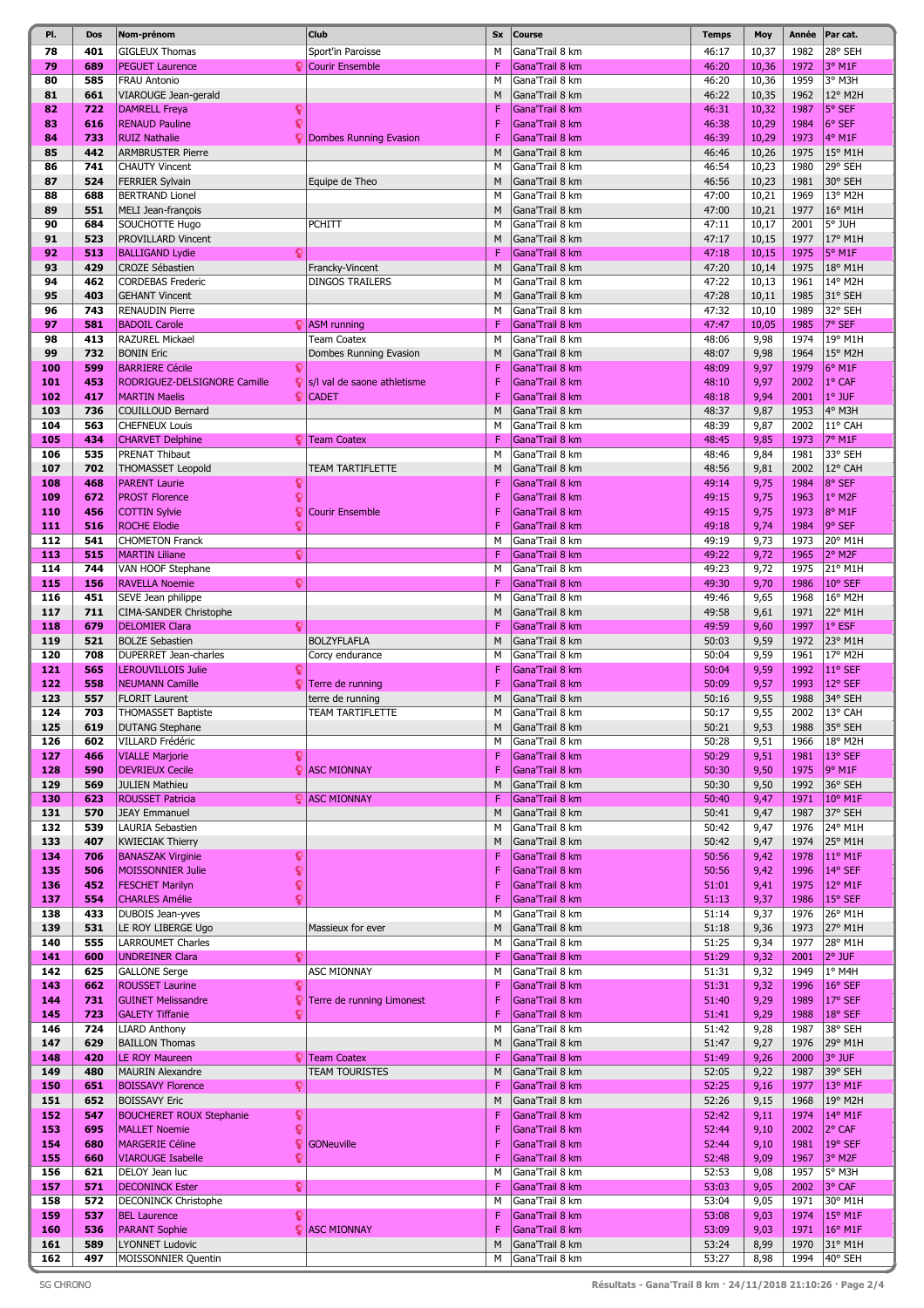| PI.        | Dos        | Nom-prénom                                      | Club                          | <b>Sx</b> | <b>Course</b>                      | <b>Temps</b>   | Moy          | Année        | Par cat.           |
|------------|------------|-------------------------------------------------|-------------------------------|-----------|------------------------------------|----------------|--------------|--------------|--------------------|
| 78         | 401        | <b>GIGLEUX Thomas</b>                           | Sport'in Paroisse             | М         | Gana'Trail 8 km                    | 46:17          | 10,37        | 1982         | 28° SEH            |
| 79         | 689        | <b>PEGUET Laurence</b>                          | Courir Ensemble               | F         | Gana'Trail 8 km                    | 46:20          | 10,36        | 1972         | 3° M1F             |
| 80         | 585        | <b>FRAU Antonio</b>                             |                               | M         | Gana'Trail 8 km                    | 46:20          | 10,36        | 1959         | 3° M3H             |
| 81         | 661        | VIAROUGE Jean-gerald                            |                               | M         | Gana'Trail 8 km                    | 46:22          | 10,35        | 1962         | 12° M2H            |
| 82         | 722        | <b>DAMRELL Freya</b>                            |                               | F         | Gana'Trail 8 km                    | 46:31          | 10,32        | 1987         | 5° SEF             |
| 83         | 616        | <b>RENAUD Pauline</b>                           |                               | F         | Gana'Trail 8 km                    | 46:38          | 10,29        | 1984         | 6° SEF             |
| 84         | 733        | <b>RUIZ Nathalie</b>                            | <b>Dombes Running Evasion</b> | F         | Gana'Trail 8 km                    | 46:39          | 10,29        | 1973         | 4° M1F             |
| 85         | 442        | <b>ARMBRUSTER Pierre</b>                        |                               | M         | Gana'Trail 8 km                    | 46:46          | 10,26        | 1975         | 15° M1H            |
| 86         | 741        | <b>CHAUTY Vincent</b>                           |                               | M         | Gana'Trail 8 km                    | 46:54          | 10,23        | 1980         | 29° SEH            |
| 87         | 524        | <b>FERRIER Sylvain</b>                          | Equipe de Theo                | M         | Gana'Trail 8 km                    | 46:56          | 10,23        | 1981         | 30° SEH            |
| 88         | 688        | <b>BERTRAND Lionel</b>                          |                               | M         | Gana'Trail 8 km                    | 47:00          | 10,21        | 1969         | 13° M2H            |
| 89         | 551        | MELI Jean-françois                              |                               | M         | Gana'Trail 8 km                    | 47:00          | 10,21        | 1977         | 16° M1H            |
| 90         | 684        | SOUCHOTTE Hugo                                  | <b>PCHITT</b>                 | M         | Gana'Trail 8 km                    | 47:11          | 10,17        | 2001         | 5° JUH             |
| 91         | 523        | PROVILLARD Vincent                              |                               | M         | Gana'Trail 8 km                    | 47:17          | 10,15        | 1977         | 17° M1H            |
| 92         | 513        | <b>BALLIGAND Lydie</b>                          |                               | F         | Gana'Trail 8 km                    | 47:18          | 10,15        | 1975         | 5° M1F             |
| 93         | 429        | <b>CROZE Sébastien</b>                          | Francky-Vincent               | M         | Gana'Trail 8 km                    | 47:20          | 10,14        | 1975         | 18° M1H            |
| 94         | 462        | <b>CORDEBAS Frederic</b>                        | <b>DINGOS TRAILERS</b>        | M         | Gana'Trail 8 km                    | 47:22          | 10,13        | 1961         | 14° M2H            |
| 95         | 403        | <b>GEHANT Vincent</b>                           |                               | M         | Gana'Trail 8 km                    | 47:28          | 10,11        | 1985         | 31° SEH            |
| 96         | 743        | <b>RENAUDIN Pierre</b>                          |                               | M         | Gana'Trail 8 km                    | 47:32          | 10,10        | 1989         | 32° SEH            |
| 97         | 581        | <b>BADOIL Carole</b>                            | $\mathbf{Q}$ ASM running      | F         | Gana'Trail 8 km                    | 47:47          | 10,05        | 1985         | 7° SEF             |
| 98         | 413        | <b>RAZUREL Mickael</b>                          | <b>Team Coatex</b>            | M         | Gana'Trail 8 km                    | 48:06          | 9,98         | 1974         | 19° M1H            |
| 99         | 732        | <b>BONIN Eric</b>                               | Dombes Running Evasion        | M         | Gana'Trail 8 km                    | 48:07          | 9,98         | 1964         | 15° M2H            |
| 100        | 599        | <b>BARRIERE Cécile</b>                          |                               | F         | Gana'Trail 8 km                    | 48:09          | 9,97         | 1979         | 6° M1F             |
| 101        | 453        | RODRIGUEZ-DELSIGNORE Camille                    | s/I val de saone athletisme   | F         | Gana'Trail 8 km                    | 48:10          | 9,97         | 2002         | 1° CAF             |
| 102        | 417        | <b>MARTIN Maelis</b><br>۰                       | <b>CADET</b>                  | F         | Gana'Trail 8 km                    | 48:18          | 9,94         | 2001         | 1° JUF             |
| 103        | 736        | <b>COUILLOUD Bernard</b>                        |                               | M         | Gana'Trail 8 km                    | 48:37          | 9,87         | 1953         | 4° M3H             |
| 104        | 563        | <b>CHEFNEUX Louis</b>                           |                               | M         | Gana'Trail 8 km                    | 48:39          | 9,87         | 2002         | 11° CAH            |
| 105        | 434        | <b>CHARVET Delphine</b>                         | <b>V</b> Team Coatex          | F         | Gana'Trail 8 km                    | 48:45          | 9,85         | 1973         | 7° M1F             |
| 106        | 535        | <b>PRENAT Thibaut</b>                           |                               | M         | Gana'Trail 8 km                    | 48:46          | 9,84         | 1981         | 33° SEH            |
| 107        | 702        | <b>THOMASSET Leopold</b>                        | TEAM TARTIFLETTE              | M         | Gana'Trail 8 km                    | 48:56          | 9,81         | 2002         | 12° CAH            |
| 108        | 468        | <b>PARENT Laurie</b><br>្                       |                               | F         | Gana'Trail 8 km                    | 49:14          | 9,75         | 1984         | 8° SEF             |
| 109        | 672        | <b>PROST Florence</b><br>Q                      |                               | F         | Gana'Trail 8 km                    | 49:15          | 9,75         | 1963         | 1º M2F             |
| 110        | 456        | <b>COTTIN Sylvie</b><br>9                       | <b>Courir Ensemble</b>        | F         | Gana'Trail 8 km                    | 49:15          | 9,75         | 1973         | 8° M1F             |
| 111        | 516        | Q<br><b>ROCHE Elodie</b>                        |                               | F         | Gana'Trail 8 km                    | 49:18          | 9,74         | 1984         | 9° SEF             |
| 112        | 541        | <b>CHOMETON Franck</b>                          |                               | M         | Gana'Trail 8 km                    | 49:19          | 9,73         | 1973         | 20° M1H            |
| 113        | 515        | <b>MARTIN Liliane</b><br>Ω                      |                               | F         | Gana'Trail 8 km                    | 49:22          | 9,72         | 1965         | 2° M2F             |
| 114        | 744        | VAN HOOF Stephane                               |                               | M         | Gana'Trail 8 km                    | 49:23          | 9,72         | 1975         | 21° M1H            |
| 115        | 156        | <b>RAVELLA Noemie</b><br>Q                      |                               | F         | Gana'Trail 8 km                    | 49:30          | 9,70         | 1986         | 10° SEF            |
| 116        | 451        | SEVE Jean philippe                              |                               | M         | Gana'Trail 8 km                    | 49:46          | 9,65         | 1968         | 16° M2H            |
| 117        | 711        | CIMA-SANDER Christophe                          |                               | M         | Gana'Trail 8 km                    | 49:58          | 9,61         | 1971         | 22° M1H            |
| 118        | 679        | <b>DELOMIER Clara</b>                           |                               | F         | Gana'Trail 8 km                    | 49:59          | 9,60         | 1997         | 1° ESF             |
| 119        | 521        | <b>BOLZE Sebastien</b>                          | <b>BOLZYFLAFLA</b>            | M         | Gana'Trail 8 km                    | 50:03          | 9,59         | 1972         | 23° M1H            |
| 120        | 708        | DUPERRET Jean-charles                           | Corcy endurance               | M         | Gana'Trail 8 km                    | 50:04          | 9,59         | 1961         | 17° M2H            |
| 121        | 565        | <b>LEROUVILLOIS Julie</b>                       |                               | F         | Gana'Trail 8 km                    | 50:04          | 9,59         | 1992         | 11° SEF            |
| 122        | 558        | <b>NEUMANN Camille</b>                          | Terre de running              | F         | Gana'Trail 8 km                    | 50:09          | 9,57         | 1993         | 12° SEF            |
| 123        | 557<br>703 | <b>FLORIT Laurent</b>                           | terre de running              | M         | Gana'Trail 8 km                    | 50:16          | 9,55         | 1988         | 34° SEH            |
| 124        |            | <b>THOMASSET Baptiste</b>                       | TEAM TARTIFLETTE              | М         | Gana'Trail 8 km                    | 50:17          | 9,55         | 2002         | 13° CAH            |
| 125<br>126 | 619<br>602 | <b>DUTANG Stephane</b>                          |                               | M         | Gana'Trail 8 km<br>Gana'Trail 8 km | 50:21          | 9,53         | 1988<br>1966 | 35° SEH<br>18° M2H |
| 127        | 466        | VILLARD Frédéric<br><b>VIALLE Marjorie</b><br>Q |                               | М<br>F    | Gana'Trail 8 km                    | 50:28<br>50:29 | 9,51<br>9,51 | 1981         | 13° SEF            |
| 128        | 590        | <b>DEVRIEUX Cecile</b>                          | <b>E</b> ASC MIONNAY          | F         | Gana'Trail 8 km                    | 50:30          | 9,50         | 1975         | 9° M1F             |
| 129        | 569        | <b>JULIEN Mathieu</b>                           |                               | M         | Gana'Trail 8 km                    | 50:30          | 9,50         | 1992         | 36° SEH            |
| 130        | 623        | <b>ROUSSET Patricia</b>                         | $\bigcirc$ ASC MIONNAY        | F         | Gana'Trail 8 km                    | 50:40          | 9,47         | 1971         | 10° M1F            |
| 131        | 570        | <b>JEAY Emmanuel</b>                            |                               | M         | Gana'Trail 8 km                    | 50:41          | 9,47         | 1987         | 37° SEH            |
| 132        | 539        | LAURIA Sebastien                                |                               | M         | Gana'Trail 8 km                    | 50:42          | 9,47         | 1976         | 24° M1H            |
| 133        | 407        | <b>KWIECIAK Thierry</b>                         |                               | M         | Gana'Trail 8 km                    | 50:42          | 9,47         | 1974         | 25° M1H            |
| 134        | 706        | <b>BANASZAK Virginie</b><br>ç                   |                               | F         | Gana'Trail 8 km                    | 50:56          | 9,42         | 1978         | 11° M1F            |
| 135        | 506        | Q<br><b>MOISSONNIER Julie</b>                   |                               | F         | Gana'Trail 8 km                    | 50:56          | 9,42         | 1996         | 14° SEF            |
| 136        | 452        | <b>FESCHET Marilyn</b>                          |                               | F         | Gana'Trail 8 km                    | 51:01          | 9,41         | 1975         | 12° M1F            |
| 137        | 554        | ۰<br><b>CHARLES Amélie</b>                      |                               | F         | Gana'Trail 8 km                    | 51:13          | 9,37         | 1986         | 15° SEF            |
| 138        | 433        | DUBOIS Jean-yves                                |                               | M         | Gana'Trail 8 km                    | 51:14          | 9,37         | 1976         | 26° M1H            |
| 139        | 531        | LE ROY LIBERGE Ugo                              | Massieux for ever             | M         | Gana'Trail 8 km                    | 51:18          | 9,36         | 1973         | 27° M1H            |
| 140        | 555        | LARROUMET Charles                               |                               | M         | Gana'Trail 8 km                    | 51:25          | 9,34         | 1977         | 28° M1H            |
| 141        | 600        | <b>UNDREINER Clara</b><br>Q.                    |                               | F         | Gana'Trail 8 km                    | 51:29          | 9,32         | 2001         | 2° JUF             |
| 142        | 625        | <b>GALLONE Serge</b>                            | ASC MIONNAY                   | M         | Gana'Trail 8 km                    | 51:31          | 9,32         | 1949         | 1° M4H             |
| 143        | 662        | <b>ROUSSET Laurine</b>                          |                               | F         | Gana'Trail 8 km                    | 51:31          | 9,32         | 1996         | 16° SEF            |
| 144        | 731        | <b>GUINET Melissandre</b>                       | Terre de running Limonest     | F         | Gana'Trail 8 km                    | 51:40          | 9,29         | 1989         | 17° SEF            |
| 145        | 723        | <b>GALETY Tiffanie</b>                          |                               | F         | Gana'Trail 8 km                    | 51:41          | 9,29         | 1988         | 18° SEF            |
| 146        | 724        | <b>LIARD Anthony</b>                            |                               | M         | Gana'Trail 8 km                    | 51:42          | 9,28         | 1987         | 38° SEH            |
| 147        | 629        | <b>BAILLON Thomas</b>                           |                               | M         | Gana'Trail 8 km                    | 51:47          | 9,27         | 1976         | 29° M1H            |
| 148        | 420        | LE ROY Maureen                                  | <b>Team Coatex</b>            | F         | Gana'Trail 8 km                    | 51:49          | 9,26         | 2000         | 3° JUF             |
| 149        | 480        | <b>MAURIN Alexandre</b>                         | TEAM TOURISTES                | M         | Gana'Trail 8 km                    | 52:05          | 9,22         | 1987         | 39° SEH            |
| 150        | 651        | <b>BOISSAVY Florence</b><br>Ω                   |                               | F         | Gana'Trail 8 km                    | 52:25          | 9,16         | 1977         | 13° M1F            |
| 151        | 652        | <b>BOISSAVY Eric</b>                            |                               | M         | Gana'Trail 8 km                    | 52:26          | 9,15         | 1968         | 19° M2H            |
| 152        | 547        | <b>BOUCHERET ROUX Stephanie</b><br>9            |                               | F         | Gana'Trail 8 km                    | 52:42          | 9,11         | 1974         | 14° M1F            |
| 153        | 695        | Ō<br><b>MALLET Noemie</b>                       |                               | F         | Gana'Trail 8 km                    | 52:44          | 9,10         | 2002         | 2° CAF             |
| 154        | 680        | <b>MARGERIE Céline</b><br>Q.                    | GONeuville                    | F         | Gana'Trail 8 km                    | 52:44          | 9,10         | 1981         | 19° SEF            |
| 155        | 660        | <b>VIAROUGE Isabelle</b><br>Q                   |                               | F         | Gana'Trail 8 km                    | 52:48          | 9,09         | 1967         | 3° M2F             |
| 156        | 621        | DELOY Jean luc                                  |                               | M         | Gana'Trail 8 km                    | 52:53          | 9,08         | 1957         | 5° M3H             |
| 157        | 571        | <b>DECONINCK Ester</b><br>ହ                     |                               | F         | Gana'Trail 8 km                    | 53:03          | 9,05         | 2002         | 3° CAF             |
| 158        | 572        | <b>DECONINCK Christophe</b>                     |                               | M         | Gana'Trail 8 km                    | 53:04          | 9,05         | 1971         | 30° M1H            |
| 159        | 537        | <b>BEL Laurence</b><br>Q                        |                               | F         | Gana'Trail 8 km                    | 53:08          | 9,03         | 1974         | 15° M1F            |
| 160        | 536        | <b>PARANT Sophie</b><br>۰                       | <b>ASC MIONNAY</b>            | F         | Gana'Trail 8 km                    | 53:09          | 9,03         | 1971         | 16° M1F            |
| 161        | 589        | <b>LYONNET Ludovic</b>                          |                               | M         | Gana'Trail 8 km                    | 53:24          | 8,99         | 1970         | 31° M1H            |
| 162        | 497        | MOISSONNIER Quentin                             |                               | М         | Gana'Trail 8 km                    | 53:27          | 8,98         | 1994         | $40^{\circ}$ SEH   |
|            |            |                                                 |                               |           |                                    |                |              |              |                    |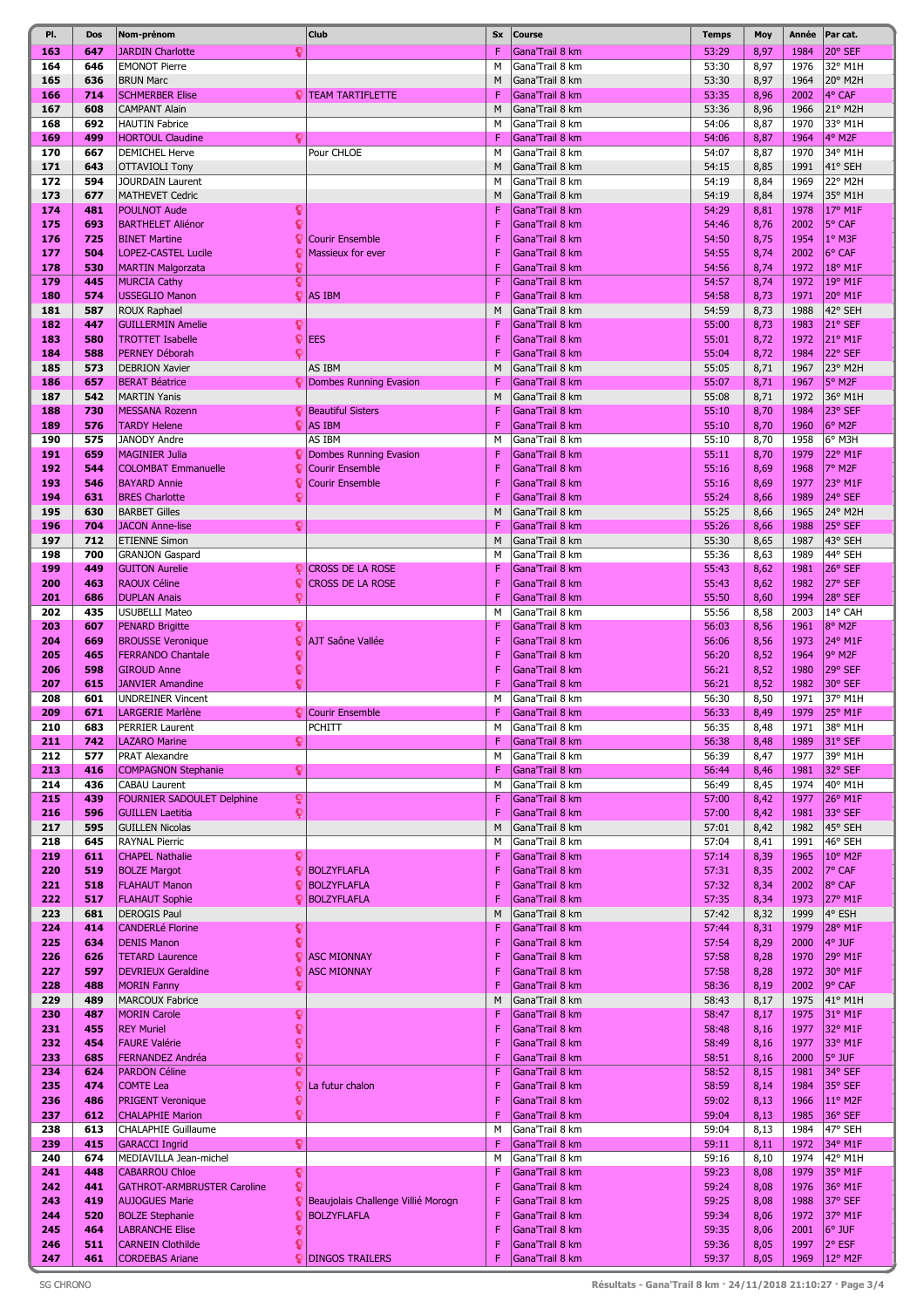| PI.        | Dos        | Nom-prénom                                            | Club                                            | <b>Sx</b> | <b>Course</b>                      | <b>Temps</b>   | Moy          | Année        | Par cat.           |
|------------|------------|-------------------------------------------------------|-------------------------------------------------|-----------|------------------------------------|----------------|--------------|--------------|--------------------|
| 163        | 647        | <b>JARDIN Charlotte</b>                               |                                                 | F         | Gana'Trail 8 km                    | 53:29          | 8,97         | 1984         | 20° SEF            |
| 164        | 646        | <b>EMONOT Pierre</b>                                  |                                                 | M         | Gana'Trail 8 km                    | 53:30          | 8,97         | 1976         | 32° M1H            |
| 165        | 636        | <b>BRUN Marc</b>                                      |                                                 | M         | Gana'Trail 8 km                    | 53:30          | 8,97         | 1964         | 20° M2H            |
| 166        | 714        | <b>SCHMERBER Elise</b>                                | <b>VITEAM TARTIFLETTE</b>                       | F         | Gana'Trail 8 km                    | 53:35          | 8,96         | 2002         | 4° CAF             |
| 167        | 608        | <b>CAMPANT Alain</b>                                  |                                                 | M         | Gana'Trail 8 km                    | 53:36          | 8,96         | 1966         | 21° M2H            |
| 168        | 692        | <b>HAUTIN Fabrice</b>                                 |                                                 | M         | Gana'Trail 8 km                    | 54:06          | 8,87         | 1970         | 33° M1H            |
| 169<br>170 | 499<br>667 | <b>HORTOUL Claudine</b><br>Ω<br><b>DEMICHEL Herve</b> | Pour CHLOE                                      | F<br>M    | Gana'Trail 8 km<br>Gana'Trail 8 km | 54:06<br>54:07 | 8,87<br>8,87 | 1964<br>1970 | 4° M2F<br>34° M1H  |
| 171        | 643        | OTTAVIOLI Tony                                        |                                                 | M         | Gana'Trail 8 km                    | 54:15          | 8,85         | 1991         | 41° SEH            |
| 172        | 594        | <b>JOURDAIN Laurent</b>                               |                                                 | M         | Gana'Trail 8 km                    | 54:19          | 8,84         | 1969         | 22° M2H            |
| 173        | 677        | <b>MATHEVET Cedric</b>                                |                                                 | M         | Gana'Trail 8 km                    | 54:19          | 8,84         | 1974         | 35° M1H            |
| 174        | 481        | <b>POULNOT Aude</b><br>ç                              |                                                 | F         | Gana'Trail 8 km                    | 54:29          | 8,81         | 1978         | 17° M1F            |
| 175        | 693        | <b>BARTHELET Aliénor</b>                              |                                                 | F         | Gana'Trail 8 km                    | 54:46          | 8,76         | 2002         | 5° CAF             |
| 176        | 725        | <b>BINET Martine</b>                                  | <b>Courir Ensemble</b>                          | F         | Gana'Trail 8 km                    | 54:50          | 8,75         | 1954         | 1° M3F             |
| 177        | 504        | <b>LOPEZ-CASTEL Lucile</b>                            | <b>Massieux for ever</b>                        | F         | Gana'Trail 8 km                    | 54:55          | 8,74         | 2002         | 6° CAF             |
| 178        | 530        | <b>MARTIN Malgorzata</b>                              |                                                 | F         | Gana'Trail 8 km                    | 54:56          | 8,74         | 1972         | 18° M1F            |
| 179        | 445        | <b>MURCIA Cathy</b>                                   |                                                 | F         | Gana'Trail 8 km                    | 54:57          | 8,74         | 1972         | 19° M1F            |
| 180        | 574        | <b>USSEGLIO Manon</b><br>ç                            | AS IBM                                          | F         | Gana'Trail 8 km                    | 54:58          | 8,73         | 1971         | 20° M1F            |
| 181        | 587        | <b>ROUX Raphael</b>                                   |                                                 | M         | Gana'Trail 8 km                    | 54:59          | 8,73         | 1988         | 42° SEH            |
| 182        | 447        | <b>GUILLERMIN Amelie</b><br>្                         |                                                 | F         | Gana'Trail 8 km                    | 55:00          | 8,73         | 1983         | 21° SEF            |
| 183        | 580        | Q<br><b>TROTTET Isabelle</b>                          | <b>EES</b>                                      | F         | Gana'Trail 8 km                    | 55:01          | 8,72         | 1972         | 21° M1F            |
| 184        | 588        | PERNEY Déborah                                        |                                                 | F         | Gana'Trail 8 km                    | 55:04          | 8,72         | 1984         | 22° SEF            |
| 185        | 573        | <b>DEBRION Xavier</b>                                 | AS IBM                                          | M         | Gana'Trail 8 km                    | 55:05          | 8,71         | 1967         | 23° M2H            |
| 186        | 657        | <b>BERAT Béatrice</b>                                 | Dombes Running Evasion                          | F         | Gana'Trail 8 km                    | 55:07          | 8,71         | 1967         | 5° M2F             |
| 187        | 542        | <b>MARTIN Yanis</b>                                   |                                                 | M         | Gana'Trail 8 km                    | 55:08          | 8,71         | 1972         | 36° M1H            |
| 188<br>189 | 730        | <b>MESSANA Rozenn</b>                                 | <b>P</b> Beautiful Sisters<br>$\bigcirc$ AS IBM | F<br>F    | Gana'Trail 8 km                    | 55:10          | 8,70         | 1984         | 23° SEF<br>6° M2F  |
| 190        | 576<br>575 | <b>TARDY Helene</b><br><b>JANODY Andre</b>            | AS IBM                                          | M         | Gana'Trail 8 km<br>Gana'Trail 8 km | 55:10<br>55:10 | 8,70<br>8,70 | 1960<br>1958 | 6° M3H             |
| 191        | 659        | <b>MAGINIER Julia</b>                                 | C Dombes Running Evasion                        | F         | Gana'Trail 8 km                    | 55:11          | 8,70         | 1979         | 22° M1F            |
| 192        | 544        | <b>COLOMBAT Emmanuelle</b><br>g                       | <b>Courir Ensemble</b>                          | F         | Gana'Trail 8 km                    | 55:16          | 8,69         | 1968         | 7° M2F             |
| 193        | 546        | <b>BAYARD Annie</b>                                   | <b>Courir Ensemble</b>                          | F         | Gana'Trail 8 km                    | 55:16          | 8,69         | 1977         | 23° M1F            |
| 194        | 631        | <b>BRES</b> Charlotte                                 |                                                 | F         | Gana'Trail 8 km                    | 55:24          | 8,66         | 1989         | 24° SEF            |
| 195        | 630        | <b>BARBET Gilles</b>                                  |                                                 | M         | Gana'Trail 8 km                    | 55:25          | 8,66         | 1965         | 24° M2H            |
| 196        | 704        | ହ<br><b>JACON Anne-lise</b>                           |                                                 | F         | Gana'Trail 8 km                    | 55:26          | 8,66         | 1988         | 25° SEF            |
| 197        | 712        | <b>ETIENNE Simon</b>                                  |                                                 | M         | Gana'Trail 8 km                    | 55:30          | 8,65         | 1987         | 43° SEH            |
| 198        | 700        | <b>GRANJON Gaspard</b>                                |                                                 | М         | Gana'Trail 8 km                    | 55:36          | 8,63         | 1989         | 44° SEH            |
| 199        | 449        | <b>GUITON Aurelie</b><br>Q                            | <b>CROSS DE LA ROSE</b>                         | F         | Gana'Trail 8 km                    | 55:43          | 8,62         | 1981         | 26° SEF            |
| 200        | 463        | <b>RAOUX Céline</b><br>ç                              | CROSS DE LA ROSE                                | F         | Gana'Trail 8 km                    | 55:43          | 8,62         | 1982         | 27° SEF            |
| 201        | 686        | <b>DUPLAN Anais</b><br>ç                              |                                                 | F         | Gana'Trail 8 km                    | 55:50          | 8,60         | 1994         | 28° SEF            |
| 202        | 435        | <b>USUBELLI Mateo</b>                                 |                                                 | M         | Gana'Trail 8 km                    | 55:56          | 8,58         | 2003         | 14° CAH            |
| 203        | 607        | <b>PENARD Brigitte</b><br>Q                           |                                                 | F         | Gana'Trail 8 km                    | 56:03          | 8,56         | 1961         | 8° M2F             |
| 204        | 669        | <b>BROUSSE Veronique</b><br>g                         | <b>AJT Saône Vallée</b>                         | F         | Gana'Trail 8 km                    | 56:06          | 8,56         | 1973         | 24° M1F            |
| 205        | 465        | <b>FERRANDO Chantale</b>                              |                                                 | F         | Gana'Trail 8 km                    | 56:20          | 8,52         | 1964         | 9° M2F             |
| 206        | 598        | <b>GIROUD Anne</b>                                    |                                                 | F         | Gana'Trail 8 km                    | 56:21          | 8,52         | 1980         | 29° SEF            |
| 207        | 615        | Q<br><b>JANVIER Amandine</b>                          |                                                 | F         | Gana'Trail 8 km                    | 56:21          | 8,52         | 1982         | 30° SEF            |
| 208        | 601        | <b>UNDREINER Vincent</b>                              |                                                 | M<br>F    | Gana'Trail 8 km                    | 56:30          | 8,50         | 1971         | 37° M1H            |
| 209<br>210 | 671<br>683 | <b>LARGERIE Marlène</b><br><b>PERRIER Laurent</b>     | Courir Ensemble<br>PCHITT                       | М         | Gana'Trail 8 km<br>Gana'Trail 8 km | 56:33<br>56:35 | 8,49         | 1979<br>1971 | 25° M1F<br>38° M1H |
| 211        | 742        | <b>LAZARO Marine</b><br>ç                             |                                                 | F         | Gana'Trail 8 km                    | 56:38          | 8,48<br>8,48 | 1989         | 31° SEF            |
| 212        | 577        | PRAT Alexandre                                        |                                                 | M         | Gana'Trail 8 km                    | 56:39          | 8,47         | 1977         | 39° M1H            |
| 213        | 416        | Q.<br><b>COMPAGNON Stephanie</b>                      |                                                 | F         | Gana'Trail 8 km                    | 56:44          | 8,46         | 1981         | 32° SEF            |
| 214        | 436        | CABAU Laurent                                         |                                                 | M         | Gana'Trail 8 km                    | 56:49          | 8,45         | 1974         | 40° M1H            |
| 215        | 439        | <b>FOURNIER SADOULET Delphine</b><br>ö                |                                                 | F         | Gana'Trail 8 km                    | 57:00          | 8,42         | 1977         | 26° M1F            |
| 216        | 596        | Q<br><b>GUILLEN Laetitia</b>                          |                                                 | F         | Gana'Trail 8 km                    | 57:00          | 8,42         | 1981         | 33° SEF            |
| 217        | 595        | <b>GUILLEN Nicolas</b>                                |                                                 | M         | Gana'Trail 8 km                    | 57:01          | 8,42         | 1982         | 45° SEH            |
| 218        | 645        | <b>RAYNAL Pierric</b>                                 |                                                 | M         | Gana'Trail 8 km                    | 57:04          | 8,41         | 1991         | 46° SEH            |
| 219        | 611        | <b>CHAPEL Nathalie</b><br>Q                           |                                                 | F         | Gana'Trail 8 km                    | 57:14          | 8,39         | 1965         | 10° M2F            |
| 220        | 519        | <b>BOLZE Margot</b><br>g                              | <b>BOLZYFLAFLA</b>                              | F         | Gana'Trail 8 km                    | 57:31          | 8,35         | 2002         | 7° CAF             |
| 221        | 518        | <b>FLAHAUT Manon</b>                                  | <b>BOLZYFLAFLA</b>                              | F         | Gana'Trail 8 km                    | 57:32          | 8,34         | 2002         | 8° CAF             |
| 222<br>223 | 517<br>681 | <b>FLAHAUT Sophie</b><br>9<br><b>DEROGIS Paul</b>     | <b>BOLZYFLAFLA</b>                              | F<br>M    | Gana'Trail 8 km                    | 57:35          | 8,34         | 1973<br>1999 | 27° M1F<br>4° ESH  |
| 224        | 414        | <b>CANDERLé Florine</b><br>ç                          |                                                 | F         | Gana'Trail 8 km<br>Gana'Trail 8 km | 57:42<br>57:44 | 8,32<br>8,31 | 1979         | 28° M1F            |
| 225        | 634        | ç<br><b>DENIS Manon</b>                               |                                                 | F         | Gana'Trail 8 km                    | 57:54          | 8,29         | 2000         | 4° JUF             |
| 226        | 626        | <b>TETARD Laurence</b><br>ç                           | <b>ASC MIONNAY</b>                              | F         | Gana'Trail 8 km                    | 57:58          | 8,28         | 1970         | 29° M1F            |
| 227        | 597        | <b>DEVRIEUX Geraldine</b>                             | <b>ASC MIONNAY</b>                              | F         | Gana'Trail 8 km                    | 57:58          | 8,28         | 1972         | 30° M1F            |
| 228        | 488        | <b>MORIN Fanny</b><br>ç                               |                                                 | F         | Gana'Trail 8 km                    | 58:36          | 8,19         | 2002         | 9° CAF             |
| 229        | 489        | <b>MARCOUX Fabrice</b>                                |                                                 | M         | Gana'Trail 8 km                    | 58:43          | 8,17         | 1975         | 41° M1H            |
| 230        | 487        | <b>MORIN Carole</b><br>ç                              |                                                 | F         | Gana'Trail 8 km                    | 58:47          | 8,17         | 1975         | 31° M1F            |
| 231        | 455        | ö<br><b>REY Muriel</b>                                |                                                 | F         | Gana'Trail 8 km                    | 58:48          | 8,16         | 1977         | 32° M1F            |
| 232        | 454        | ្<br><b>FAURE Valérie</b>                             |                                                 | F         | Gana'Trail 8 km                    | 58:49          | 8,16         | 1977         | 33° M1F            |
| 233        | 685        | ç<br>FERNANDEZ Andréa                                 |                                                 | F         | Gana'Trail 8 km                    | 58:51          | 8,16         | 2000         | 5° JUF             |
| 234        | 624        | Q<br><b>PARDON Céline</b>                             |                                                 | F         | Gana'Trail 8 km                    | 58:52          | 8,15         | 1981         | 34° SEF            |
| 235        | 474        | <b>COMTE Lea</b><br>g                                 | La futur chalon                                 | F         | Gana'Trail 8 km                    | 58:59          | 8,14         | 1984         | 35° SEF            |
| 236        | 486        | <b>PRIGENT Veronique</b><br>ç                         |                                                 | F         | Gana'Trail 8 km                    | 59:02          | 8,13         | 1966         | 11° M2F            |
| 237        | 612        | Q<br><b>CHALAPHIE Marion</b>                          |                                                 | F         | Gana'Trail 8 km                    | 59:04          | 8,13         | 1985         | 36° SEF            |
| 238<br>239 | 613<br>415 | CHALAPHIE Guillaume<br>Q<br><b>GARACCI Ingrid</b>     |                                                 | M<br>F    | Gana'Trail 8 km<br>Gana'Trail 8 km | 59:04          | 8,13         | 1984<br>1972 | 47° SEH<br>34° M1F |
| 240        | 674        | MEDIAVILLA Jean-michel                                |                                                 | M         | Gana'Trail 8 km                    | 59:11<br>59:16 | 8,11<br>8,10 | 1974         | 42° M1H            |
| 241        | 448        | ç<br><b>CABARROU Chloe</b>                            |                                                 | F         | Gana'Trail 8 km                    | 59:23          | 8,08         | 1979         | 35° M1F            |
| 242        | 441        | Q<br><b>GATHROT-ARMBRUSTER Caroline</b>               |                                                 | F         | Gana'Trail 8 km                    | 59:24          | 8,08         | 1976         | 36° M1F            |
| 243        | 419        | <b>AUJOGUES Marie</b><br>ç                            | Beaujolais Challenge Villié Morogn              | F         | Gana'Trail 8 km                    | 59:25          | 8,08         | 1988         | 37° SEF            |
| 244        | 520        | Q<br><b>BOLZE Stephanie</b>                           | <b>BOLZYFLAFLA</b>                              | F         | Gana'Trail 8 km                    | 59:34          | 8,06         | 1972         | 37° M1F            |
| 245        | 464        | ç<br><b>LABRANCHE Elise</b>                           |                                                 | F         | Gana'Trail 8 km                    | 59:35          | 8,06         | 2001         | 6° JUF             |
| 246        | 511        | ç<br><b>CARNEIN Clothilde</b>                         |                                                 | F         | Gana'Trail 8 km                    | 59:36          | 8,05         | 1997         | 2° ESF             |
| 247        | 461        | <b>CORDEBAS Ariane</b>                                | <b>PINGOS TRAILERS</b>                          | F         | Gana'Trail 8 km                    | 59:37          | 8,05         | 1969         | 12° M2F            |